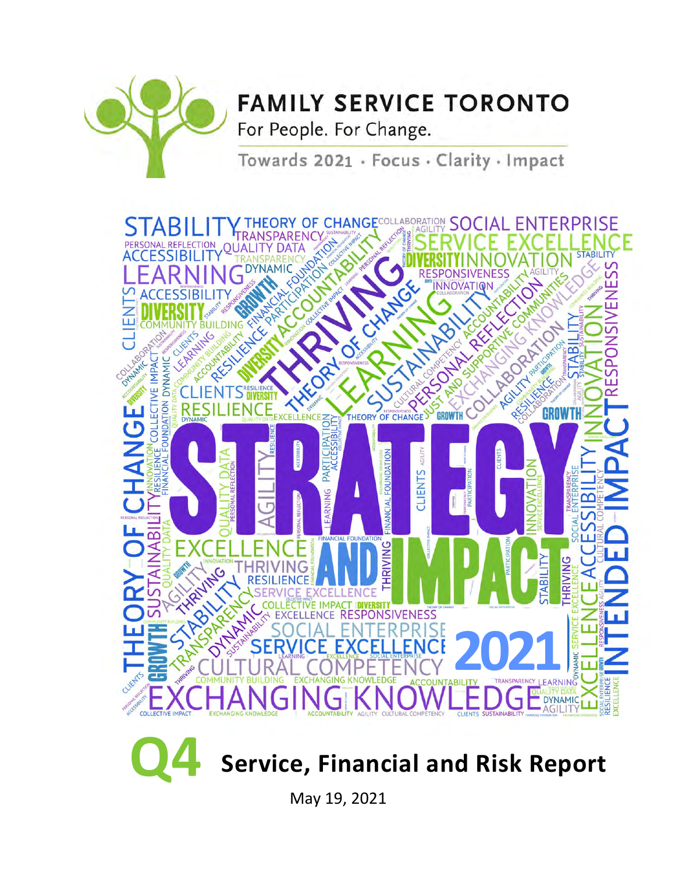

# **FAMILY SERVICE TORONTO**

For People. For Change.

Towards 2021 · Focus · Clarity · Impact





May 19, 2021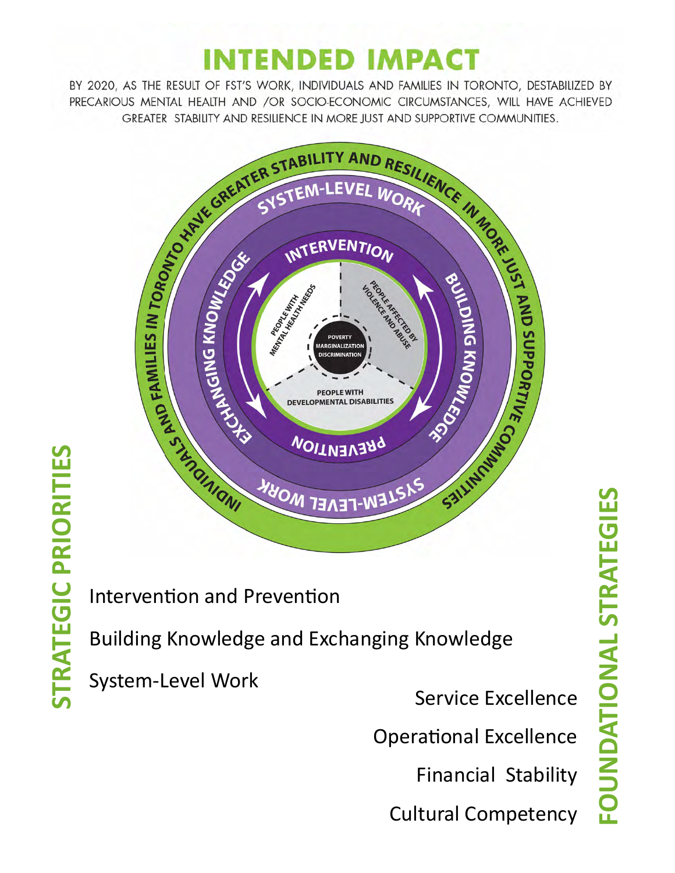# **INTENDED IMPACT**

BY 2020, AS THE RESULT OF FST'S WORK, INDIVIDUALS AND FAMILIES IN TORONTO, DESTABILIZED BY PRECARIOUS MENTAL HEALTH AND /OR SOCIO-ECONOMIC CIRCUMSTANCES, WILL HAVE ACHIEVED GREATER STABILITY AND RESILIENCE IN MORE JUST AND SUPPORTIVE COMMUNITIES.



# **STRATEGIC PRIORITIES STRATEGIC PRIORITIES**

Intervention and Prevention

Building Knowledge and Exchanging Knowledge

System-Level Work

Service Excellence

Operational Excellence

Financial Stability

Cultural Competency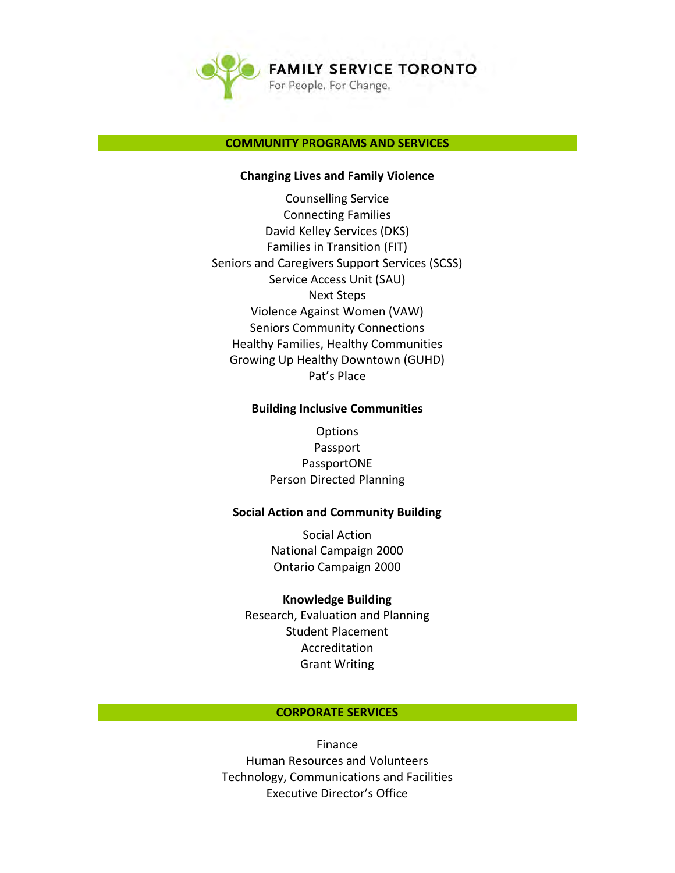

#### **COMMUNITY PROGRAMS AND SERVICES**

#### **Changing Lives and Family Violence**

Counselling Service Connecting Families David Kelley Services (DKS) Families in Transition (FIT) Seniors and Caregivers Support Services (SCSS) Service Access Unit (SAU) Next Steps Violence Against Women (VAW) Seniors Community Connections Healthy Families, Healthy Communities Growing Up Healthy Downtown (GUHD) Pat's Place

#### **Building Inclusive Communities**

**Options** Passport PassportONE Person Directed Planning

#### **Social Action and Community Building**

Social Action National Campaign 2000 Ontario Campaign 2000

#### **Knowledge Building**

Research, Evaluation and Planning Student Placement Accreditation Grant Writing

#### **CORPORATE SERVICES**

Finance Human Resources and Volunteers Technology, Communications and Facilities Executive Director's Office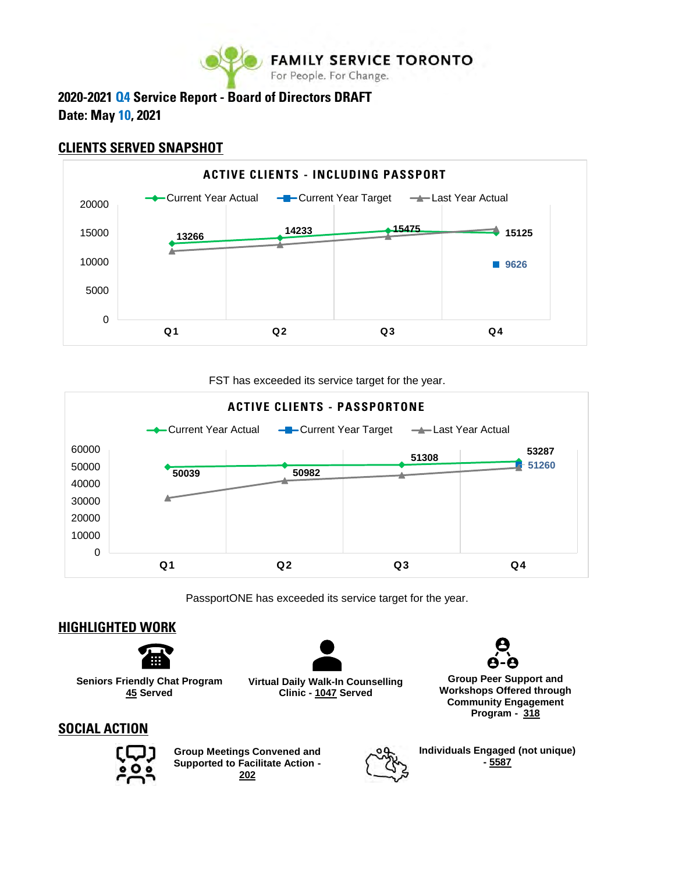

# **2020-2021 Q4 Service Report - Board of Directors DRAFT Date: May 10, 2021**

# **CLIENTS SERVED SNAPSHOT**



FST has exceeded its service target for the year.



PassportONE has exceeded its service target for the year.

# **HIGHLIGHTED WORK**



**Seniors Friendly Chat Program 45 Served**

**Virtual Daily Walk-In Counselling Clinic - 1047 Served**



**Group Peer Support and Workshops Offered through Community Engagement Program - 318**

# **SOCIAL ACTION**



**Group Meetings Convened and Supported to Facilitate Action - 202**



**Individuals Engaged (not unique) - 5587**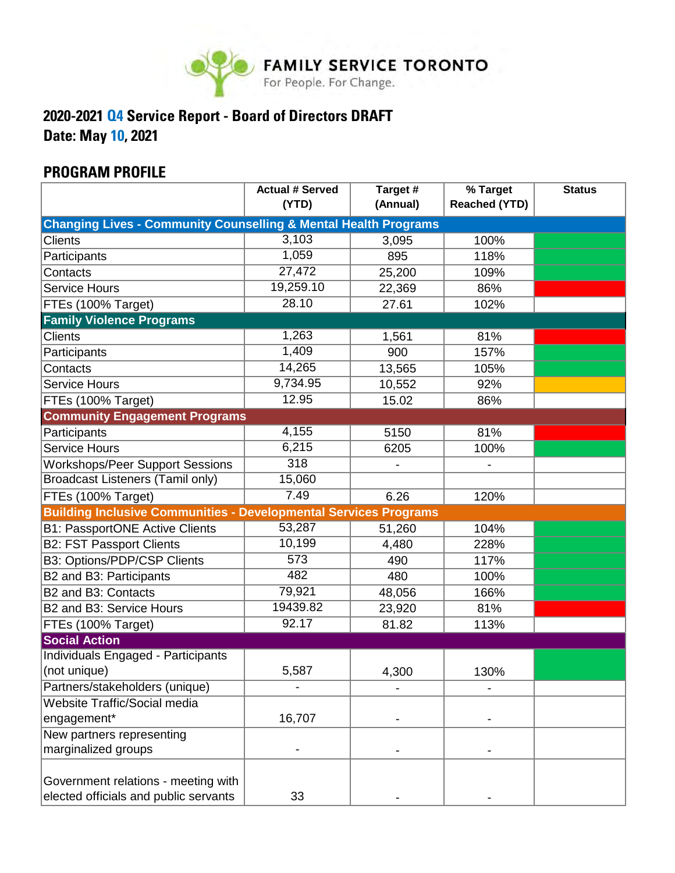

# **2020-2021 Q4 Service Report - Board of Directors DRAFT**

**Date: May 10, 2021**

# **PROGRAM PROFILE**

|                                                                            | <b>Actual # Served</b><br>(YTD) | Target #<br>(Annual) | % Target<br><b>Reached (YTD)</b> | <b>Status</b> |
|----------------------------------------------------------------------------|---------------------------------|----------------------|----------------------------------|---------------|
| <b>Changing Lives - Community Counselling &amp; Mental Health Programs</b> |                                 |                      |                                  |               |
| Clients                                                                    | 3,103                           | 3,095                | 100%                             |               |
| Participants                                                               | 1,059                           | 895                  | 118%                             |               |
| Contacts                                                                   | 27,472                          | 25,200               | 109%                             |               |
| <b>Service Hours</b>                                                       | 19,259.10                       | 22,369               | 86%                              |               |
| FTEs (100% Target)                                                         | 28.10                           | 27.61                | 102%                             |               |
| <b>Family Violence Programs</b>                                            |                                 |                      |                                  |               |
| <b>Clients</b>                                                             | 1,263                           | 1,561                | 81%                              |               |
| Participants                                                               | 1,409                           | 900                  | 157%                             |               |
| Contacts                                                                   | 14,265                          | 13,565               | 105%                             |               |
| <b>Service Hours</b>                                                       | 9,734.95                        | 10,552               | 92%                              |               |
| FTEs (100% Target)                                                         | 12.95                           | 15.02                | 86%                              |               |
| <b>Community Engagement Programs</b>                                       |                                 |                      |                                  |               |
| Participants                                                               | 4,155                           | 5150                 | 81%                              |               |
| <b>Service Hours</b>                                                       | 6,215                           | 6205                 | 100%                             |               |
| <b>Workshops/Peer Support Sessions</b>                                     | 318                             |                      |                                  |               |
| <b>Broadcast Listeners (Tamil only)</b>                                    | 15,060                          |                      |                                  |               |
| FTEs (100% Target)                                                         | 7.49                            | 6.26                 | 120%                             |               |
| <b>Building Inclusive Communities - Developmental Services Programs</b>    |                                 |                      |                                  |               |
| <b>B1: PassportONE Active Clients</b>                                      | 53,287                          | 51,260               | 104%                             |               |
| <b>B2: FST Passport Clients</b>                                            | 10,199                          | 4,480                | 228%                             |               |
| B3: Options/PDP/CSP Clients                                                | 573                             | 490                  | 117%                             |               |
| B2 and B3: Participants                                                    | 482                             | 480                  | 100%                             |               |
| B2 and B3: Contacts                                                        | 79,921                          | 48,056               | 166%                             |               |
| B2 and B3: Service Hours                                                   | 19439.82                        | 23,920               | 81%                              |               |
| FTEs (100% Target)                                                         | 92.17                           | 81.82                | 113%                             |               |
| <b>Social Action</b>                                                       |                                 |                      |                                  |               |
| Individuals Engaged - Participants                                         |                                 |                      |                                  |               |
| (not unique)                                                               | 5,587                           | 4,300                | 130%                             |               |
| Partners/stakeholders (unique)                                             |                                 |                      |                                  |               |
| <b>Website Traffic/Social media</b>                                        |                                 |                      |                                  |               |
| engagement*                                                                | 16,707                          |                      |                                  |               |
| New partners representing                                                  |                                 |                      |                                  |               |
| marginalized groups                                                        |                                 |                      |                                  |               |
|                                                                            |                                 |                      |                                  |               |
| Government relations - meeting with                                        |                                 |                      |                                  |               |
| elected officials and public servants                                      | 33                              |                      |                                  |               |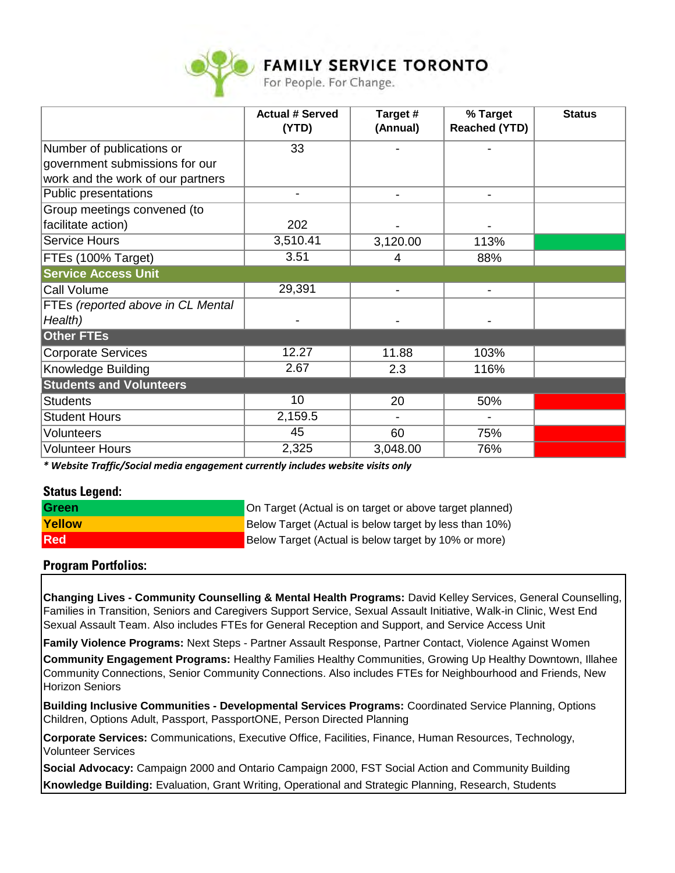

|                                   | <b>Actual # Served</b> | Target #       | % Target             | <b>Status</b> |
|-----------------------------------|------------------------|----------------|----------------------|---------------|
|                                   | (YTD)                  | (Annual)       | <b>Reached (YTD)</b> |               |
| Number of publications or         | 33                     |                |                      |               |
| government submissions for our    |                        |                |                      |               |
| work and the work of our partners |                        |                |                      |               |
| Public presentations              | ۰                      | $\overline{a}$ | -                    |               |
| Group meetings convened (to       |                        |                |                      |               |
| facilitate action)                | 202                    |                |                      |               |
| <b>Service Hours</b>              | 3,510.41               | 3,120.00       | 113%                 |               |
| FTEs (100% Target)                | 3.51                   | 4              | 88%                  |               |
| <b>Service Access Unit</b>        |                        |                |                      |               |
| <b>Call Volume</b>                | 29,391                 | $\blacksquare$ | $\blacksquare$       |               |
| FTEs (reported above in CL Mental |                        |                |                      |               |
| Health)                           |                        |                |                      |               |
| <b>Other FTEs</b>                 |                        |                |                      |               |
| <b>Corporate Services</b>         | 12.27                  | 11.88          | 103%                 |               |
| Knowledge Building                | 2.67                   | 2.3            | 116%                 |               |
| <b>Students and Volunteers</b>    |                        |                |                      |               |
| <b>Students</b>                   | 10                     | 20             | 50%                  |               |
| <b>Student Hours</b>              | 2,159.5                |                |                      |               |
| <b>Volunteers</b>                 | 45                     | 60             | 75%                  |               |
| <b>Volunteer Hours</b>            | 2,325                  | 3,048.00       | 76%                  |               |

*\* Website Traffic/Social media engagement currently includes website visits only*

#### **Status Legend:**

| <b>Green</b>  | On Target (Actual is on target or above target planned) |
|---------------|---------------------------------------------------------|
| <b>Yellow</b> | Below Target (Actual is below target by less than 10%)  |
| <b>Red</b>    | Below Target (Actual is below target by 10% or more)    |

#### **Program Portfolios:**

**Changing Lives - Community Counselling & Mental Health Programs:** David Kelley Services, General Counselling, Families in Transition, Seniors and Caregivers Support Service, Sexual Assault Initiative, Walk-in Clinic, West End Sexual Assault Team. Also includes FTEs for General Reception and Support, and Service Access Unit

**Family Violence Programs:** Next Steps - Partner Assault Response, Partner Contact, Violence Against Women

**Community Engagement Programs:** Healthy Families Healthy Communities, Growing Up Healthy Downtown, Illahee Community Connections, Senior Community Connections. Also includes FTEs for Neighbourhood and Friends, New Horizon Seniors

**Building Inclusive Communities - Developmental Services Programs:** Coordinated Service Planning, Options Children, Options Adult, Passport, PassportONE, Person Directed Planning

**Corporate Services:** Communications, Executive Office, Facilities, Finance, Human Resources, Technology, Volunteer Services

**Knowledge Building:** Evaluation, Grant Writing, Operational and Strategic Planning, Research, Students **Social Advocacy:** Campaign 2000 and Ontario Campaign 2000, FST Social Action and Community Building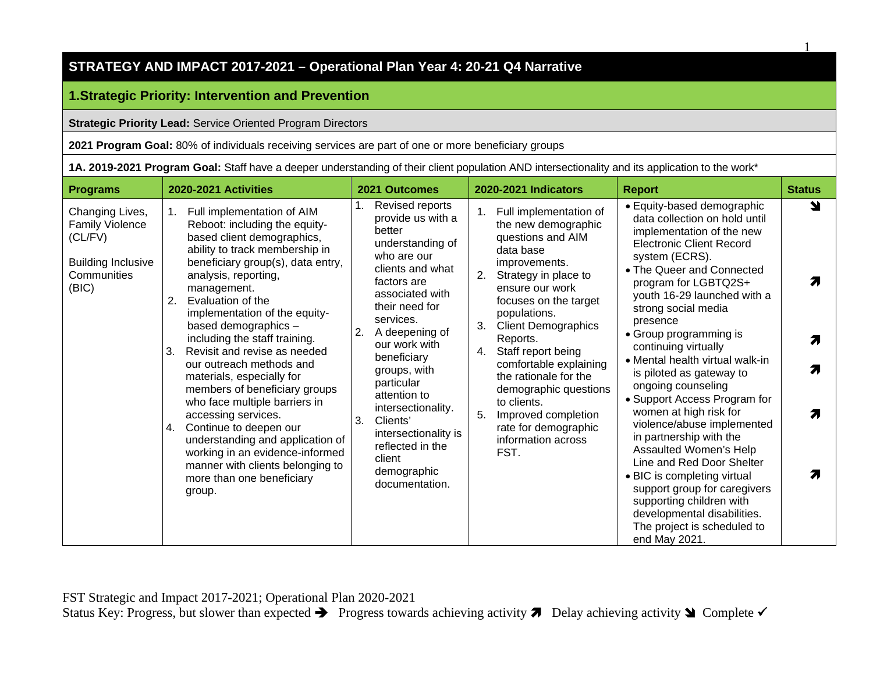# **1.Strategic Priority: Intervention and Prevention**

**Strategic Priority Lead:** Service Oriented Program Directors

**2021 Program Goal:** 80% of individuals receiving services are part of one or more beneficiary groups

**1A. 2019-2021 Program Goal:** Staff have a deeper understanding of their client population AND intersectionality and its application to the work\*

1

| <b>Programs</b>                                                                                           | 2020-2021 Activities                                                                                                                                                                                                                                                                                                                                                                                                                                                                                                                                                                                                                                                                                         | 2021 Outcomes                                                                                                                                                                                                                                                                                                                                                                                               | 2020-2021 Indicators                                                                                                                                                                                                                                                                                                                                                                                                                                       | <b>Report</b>                                                                                                                                                                                                                                                                                                                                                                                                                                                                                                                                                                                                                                                                                                                                                   | <b>Status</b>    |
|-----------------------------------------------------------------------------------------------------------|--------------------------------------------------------------------------------------------------------------------------------------------------------------------------------------------------------------------------------------------------------------------------------------------------------------------------------------------------------------------------------------------------------------------------------------------------------------------------------------------------------------------------------------------------------------------------------------------------------------------------------------------------------------------------------------------------------------|-------------------------------------------------------------------------------------------------------------------------------------------------------------------------------------------------------------------------------------------------------------------------------------------------------------------------------------------------------------------------------------------------------------|------------------------------------------------------------------------------------------------------------------------------------------------------------------------------------------------------------------------------------------------------------------------------------------------------------------------------------------------------------------------------------------------------------------------------------------------------------|-----------------------------------------------------------------------------------------------------------------------------------------------------------------------------------------------------------------------------------------------------------------------------------------------------------------------------------------------------------------------------------------------------------------------------------------------------------------------------------------------------------------------------------------------------------------------------------------------------------------------------------------------------------------------------------------------------------------------------------------------------------------|------------------|
| Changing Lives,<br><b>Family Violence</b><br>(CL/FV)<br><b>Building Inclusive</b><br>Communities<br>(BIC) | Full implementation of AIM<br>1.<br>Reboot: including the equity-<br>based client demographics,<br>ability to track membership in<br>beneficiary group(s), data entry,<br>analysis, reporting,<br>management.<br>2.<br>Evaluation of the<br>implementation of the equity-<br>based demographics -<br>including the staff training.<br>Revisit and revise as needed<br>3.<br>our outreach methods and<br>materials, especially for<br>members of beneficiary groups<br>who face multiple barriers in<br>accessing services.<br>Continue to deepen our<br>4.<br>understanding and application of<br>working in an evidence-informed<br>manner with clients belonging to<br>more than one beneficiary<br>group. | Revised reports<br>provide us with a<br>better<br>understanding of<br>who are our<br>clients and what<br>factors are<br>associated with<br>their need for<br>services.<br>2.<br>A deepening of<br>our work with<br>beneficiary<br>groups, with<br>particular<br>attention to<br>intersectionality.<br>3.<br>Clients'<br>intersectionality is<br>reflected in the<br>client<br>demographic<br>documentation. | Full implementation of<br>1.<br>the new demographic<br>questions and AIM<br>data base<br>improvements.<br>2.<br>Strategy in place to<br>ensure our work<br>focuses on the target<br>populations.<br>3.<br><b>Client Demographics</b><br>Reports.<br>Staff report being<br>4.<br>comfortable explaining<br>the rationale for the<br>demographic questions<br>to clients.<br>5.<br>Improved completion<br>rate for demographic<br>information across<br>FST. | • Equity-based demographic<br>data collection on hold until<br>implementation of the new<br><b>Electronic Client Record</b><br>system (ECRS).<br>• The Queer and Connected<br>program for LGBTQ2S+<br>youth 16-29 launched with a<br>strong social media<br>presence<br>• Group programming is<br>continuing virtually<br>• Mental health virtual walk-in<br>is piloted as gateway to<br>ongoing counseling<br>• Support Access Program for<br>women at high risk for<br>violence/abuse implemented<br>in partnership with the<br>Assaulted Women's Help<br>Line and Red Door Shelter<br>• BIC is completing virtual<br>support group for caregivers<br>supporting children with<br>developmental disabilities.<br>The project is scheduled to<br>end May 2021. | ↘<br>7<br>Я<br>7 |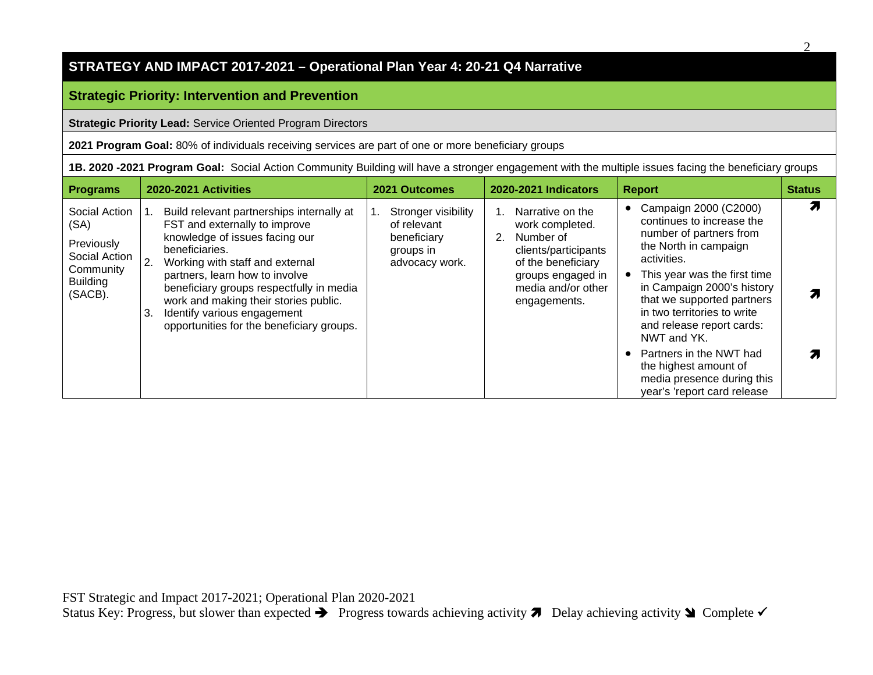#### **Strategic Priority: Intervention and Prevention**

**Strategic Priority Lead:** Service Oriented Program Directors

**2021 Program Goal:** 80% of individuals receiving services are part of one or more beneficiary groups

**1B. 2020 -2021 Program Goal:** Social Action Community Building will have a stronger engagement with the multiple issues facing the beneficiary groups

| <b>Programs</b>                                                                                 | 2020-2021 Activities                                                                                                                                                                                                                                                                                                                                                             | 2021 Outcomes                                                                    | 2020-2021 Indicators                                                                                                                                            | <b>Report</b>                                                                                                                                                                                                                                                                                                                                                                                                 | <b>Status</b> |
|-------------------------------------------------------------------------------------------------|----------------------------------------------------------------------------------------------------------------------------------------------------------------------------------------------------------------------------------------------------------------------------------------------------------------------------------------------------------------------------------|----------------------------------------------------------------------------------|-----------------------------------------------------------------------------------------------------------------------------------------------------------------|---------------------------------------------------------------------------------------------------------------------------------------------------------------------------------------------------------------------------------------------------------------------------------------------------------------------------------------------------------------------------------------------------------------|---------------|
| Social Action<br>(SA)<br>Previously<br>Social Action<br>Community<br><b>Building</b><br>(SACB). | Build relevant partnerships internally at<br>FST and externally to improve<br>knowledge of issues facing our<br>beneficiaries.<br>2.<br>Working with staff and external<br>partners, learn how to involve<br>beneficiary groups respectfully in media<br>work and making their stories public.<br>Identify various engagement<br>3.<br>opportunities for the beneficiary groups. | Stronger visibility<br>of relevant<br>beneficiary<br>groups in<br>advocacy work. | Narrative on the<br>work completed.<br>Number of<br>2.<br>clients/participants<br>of the beneficiary<br>groups engaged in<br>media and/or other<br>engagements. | Campaign 2000 (C2000)<br>continues to increase the<br>number of partners from<br>the North in campaign<br>activities.<br>This year was the first time<br>in Campaign 2000's history<br>that we supported partners<br>in two territories to write<br>and release report cards:<br>NWT and YK.<br>Partners in the NWT had<br>the highest amount of<br>media presence during this<br>year's 'report card release |               |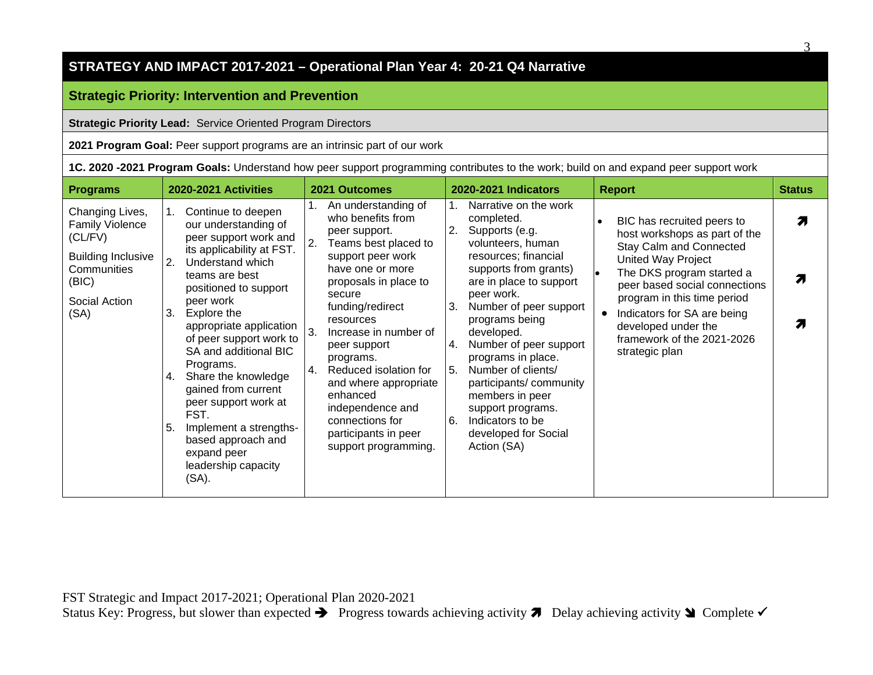#### **Strategic Priority: Intervention and Prevention**

**Strategic Priority Lead:** Service Oriented Program Directors

**2021 Program Goal:** Peer support programs are an intrinsic part of our work

**1C. 2020 -2021 Program Goals:** Understand how peer support programming contributes to the work; build on and expand peer support work

| <b>Programs</b>                                                                                                                    | <b>2020-2021 Activities</b>                                                                                                                                                                                                                                                                                                                                                                                                                                                                     | 2021 Outcomes                                                                                                                                                                                                                                                                                                                                                                                                                     | <b>2020-2021 Indicators</b>                                                                                                                                                                                                                                                                                                                                                                                                                                           | <b>Report</b>                                                                                                                                                                                                                                                                                                                             | <b>Status</b> |
|------------------------------------------------------------------------------------------------------------------------------------|-------------------------------------------------------------------------------------------------------------------------------------------------------------------------------------------------------------------------------------------------------------------------------------------------------------------------------------------------------------------------------------------------------------------------------------------------------------------------------------------------|-----------------------------------------------------------------------------------------------------------------------------------------------------------------------------------------------------------------------------------------------------------------------------------------------------------------------------------------------------------------------------------------------------------------------------------|-----------------------------------------------------------------------------------------------------------------------------------------------------------------------------------------------------------------------------------------------------------------------------------------------------------------------------------------------------------------------------------------------------------------------------------------------------------------------|-------------------------------------------------------------------------------------------------------------------------------------------------------------------------------------------------------------------------------------------------------------------------------------------------------------------------------------------|---------------|
| Changing Lives,<br><b>Family Violence</b><br>(CL/FV)<br><b>Building Inclusive</b><br>Communities<br>(BIC)<br>Social Action<br>(SA) | Continue to deepen<br>our understanding of<br>peer support work and<br>its applicability at FST.<br>Understand which<br>2.<br>teams are best<br>positioned to support<br>peer work<br>Explore the<br>З.<br>appropriate application<br>of peer support work to<br>SA and additional BIC<br>Programs.<br>Share the knowledge<br>4.<br>gained from current<br>peer support work at<br>FST.<br>Implement a strengths-<br>5.<br>based approach and<br>expand peer<br>leadership capacity<br>$(SA)$ . | An understanding of<br>1.<br>who benefits from<br>peer support.<br>2.<br>Teams best placed to<br>support peer work<br>have one or more<br>proposals in place to<br>secure<br>funding/redirect<br>resources<br>3.<br>Increase in number of<br>peer support<br>programs.<br>Reduced isolation for<br>4.<br>and where appropriate<br>enhanced<br>independence and<br>connections for<br>participants in peer<br>support programming. | Narrative on the work<br>1.<br>completed.<br>2.<br>Supports (e.g.<br>volunteers, human<br>resources; financial<br>supports from grants)<br>are in place to support<br>peer work.<br>Number of peer support<br>3.<br>programs being<br>developed.<br>Number of peer support<br>4.<br>programs in place.<br>5.<br>Number of clients/<br>participants/community<br>members in peer<br>support programs.<br>6.<br>Indicators to be<br>developed for Social<br>Action (SA) | BIC has recruited peers to<br>$\bullet$<br>host workshops as part of the<br><b>Stay Calm and Connected</b><br>United Way Project<br>The DKS program started a<br>l.<br>peer based social connections<br>program in this time period<br>Indicators for SA are being<br>developed under the<br>framework of the 2021-2026<br>strategic plan | 7<br>71       |

3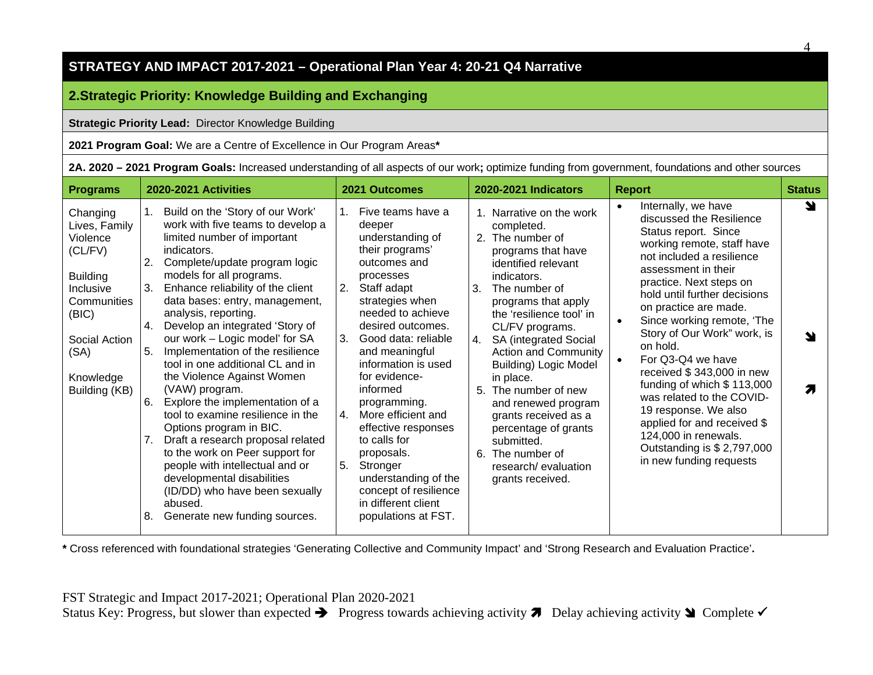# **2.Strategic Priority: Knowledge Building and Exchanging**

#### **Strategic Priority Lead:** Director Knowledge Building

**2021 Program Goal:** We are a Centre of Excellence in Our Program Areas**\***

|  |  | 2A. 2020 - 2021 Program Goals: Increased understanding of all aspects of our work; optimize funding from government, foundations and other sources |
|--|--|----------------------------------------------------------------------------------------------------------------------------------------------------|
|  |  |                                                                                                                                                    |

| <b>Programs</b>                                                                                                                                                 | <b>2020-2021 Activities</b>                                                                                                                                                                                                                                                                                                                                                                                                                                                                                                                                                                                                                                                                                                                                                                                                                            | 2021 Outcomes                                                                                                                                                                                                                                                                                                                                                                                                                                                                                          | 2020-2021 Indicators                                                                                                                                                                                                                                                                                                                                                                                                                                                                                              | <b>Report</b>                                                                                                                                                                                                                                                                                                                                                                                                                                                                                                                                                                                                        | <b>Status</b> |
|-----------------------------------------------------------------------------------------------------------------------------------------------------------------|--------------------------------------------------------------------------------------------------------------------------------------------------------------------------------------------------------------------------------------------------------------------------------------------------------------------------------------------------------------------------------------------------------------------------------------------------------------------------------------------------------------------------------------------------------------------------------------------------------------------------------------------------------------------------------------------------------------------------------------------------------------------------------------------------------------------------------------------------------|--------------------------------------------------------------------------------------------------------------------------------------------------------------------------------------------------------------------------------------------------------------------------------------------------------------------------------------------------------------------------------------------------------------------------------------------------------------------------------------------------------|-------------------------------------------------------------------------------------------------------------------------------------------------------------------------------------------------------------------------------------------------------------------------------------------------------------------------------------------------------------------------------------------------------------------------------------------------------------------------------------------------------------------|----------------------------------------------------------------------------------------------------------------------------------------------------------------------------------------------------------------------------------------------------------------------------------------------------------------------------------------------------------------------------------------------------------------------------------------------------------------------------------------------------------------------------------------------------------------------------------------------------------------------|---------------|
| Changing<br>Lives, Family<br>Violence<br>(CL/FV)<br><b>Building</b><br>Inclusive<br>Communities<br>(BIC)<br>Social Action<br>(SA)<br>Knowledge<br>Building (KB) | 1.<br>Build on the 'Story of our Work'<br>work with five teams to develop a<br>limited number of important<br>indicators.<br>Complete/update program logic<br>2.<br>models for all programs.<br>3.<br>Enhance reliability of the client<br>data bases: entry, management,<br>analysis, reporting.<br>Develop an integrated 'Story of<br>4.<br>our work - Logic model' for SA<br>Implementation of the resilience<br>5.<br>tool in one additional CL and in<br>the Violence Against Women<br>(VAW) program.<br>Explore the implementation of a<br>6.<br>tool to examine resilience in the<br>Options program in BIC.<br>7.<br>Draft a research proposal related<br>to the work on Peer support for<br>people with intellectual and or<br>developmental disabilities<br>(ID/DD) who have been sexually<br>abused.<br>Generate new funding sources.<br>8. | Five teams have a<br>deeper<br>understanding of<br>their programs'<br>outcomes and<br>processes<br>Staff adapt<br>2.<br>strategies when<br>needed to achieve<br>desired outcomes.<br>Good data: reliable<br>3.<br>and meaningful<br>information is used<br>for evidence-<br>informed<br>programming.<br>More efficient and<br>4.<br>effective responses<br>to calls for<br>proposals.<br>5.<br>Stronger<br>understanding of the<br>concept of resilience<br>in different client<br>populations at FST. | 1. Narrative on the work<br>completed.<br>2. The number of<br>programs that have<br>identified relevant<br>indicators.<br>3.<br>The number of<br>programs that apply<br>the 'resilience tool' in<br>CL/FV programs.<br><b>SA (integrated Social</b><br>4.<br><b>Action and Community</b><br><b>Building) Logic Model</b><br>in place.<br>5. The number of new<br>and renewed program<br>grants received as a<br>percentage of grants<br>submitted.<br>6. The number of<br>research/evaluation<br>grants received. | Internally, we have<br>$\bullet$<br>discussed the Resilience<br>Status report. Since<br>working remote, staff have<br>not included a resilience<br>assessment in their<br>practice. Next steps on<br>hold until further decisions<br>on practice are made.<br>Since working remote, 'The<br>$\bullet$<br>Story of Our Work" work, is<br>on hold.<br>For Q3-Q4 we have<br>$\bullet$<br>received \$343,000 in new<br>funding of which $$113,000$<br>was related to the COVID-<br>19 response. We also<br>applied for and received \$<br>124,000 in renewals.<br>Outstanding is \$ 2,797,000<br>in new funding requests | N             |

**\*** Cross referenced with foundational strategies 'Generating Collective and Community Impact' and 'Strong Research and Evaluation Practice'**.**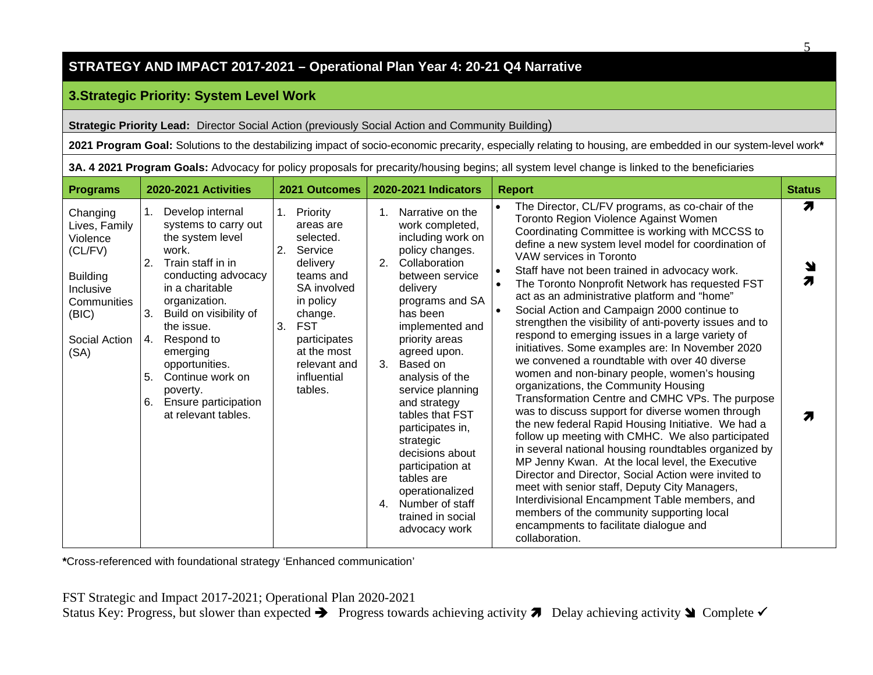# **3.Strategic Priority: System Level Work**

**Strategic Priority Lead:** Director Social Action (previously Social Action and Community Building)

**2021 Program Goal:** Solutions to the destabilizing impact of socio-economic precarity, especially relating to housing, are embedded in our system-level work**\***

**3A. 4 2021 Program Goals:** Advocacy for policy proposals for precarity/housing begins; all system level change is linked to the beneficiaries

| <b>Programs</b>                                                                                                                   | 2020-2021 Activities                                                                                                                                                                                                                                                                                                                                         | 2021 Outcomes                                                                                                                                                                                                          | 2020-2021 Indicators                                                                                                                                                                                                                                                                                                                                                                                                                                                                                 | <b>Report</b>                                                                                                                                                                                                                                                                                                                                                                                                                                                                                                                                                                                                                                                                                                                                                                                                                                                                                                                                                                                                                                                                                                                                                                                                                                                                                                                                                                                      | <b>Status</b> |
|-----------------------------------------------------------------------------------------------------------------------------------|--------------------------------------------------------------------------------------------------------------------------------------------------------------------------------------------------------------------------------------------------------------------------------------------------------------------------------------------------------------|------------------------------------------------------------------------------------------------------------------------------------------------------------------------------------------------------------------------|------------------------------------------------------------------------------------------------------------------------------------------------------------------------------------------------------------------------------------------------------------------------------------------------------------------------------------------------------------------------------------------------------------------------------------------------------------------------------------------------------|----------------------------------------------------------------------------------------------------------------------------------------------------------------------------------------------------------------------------------------------------------------------------------------------------------------------------------------------------------------------------------------------------------------------------------------------------------------------------------------------------------------------------------------------------------------------------------------------------------------------------------------------------------------------------------------------------------------------------------------------------------------------------------------------------------------------------------------------------------------------------------------------------------------------------------------------------------------------------------------------------------------------------------------------------------------------------------------------------------------------------------------------------------------------------------------------------------------------------------------------------------------------------------------------------------------------------------------------------------------------------------------------------|---------------|
| Changing<br>Lives, Family<br>Violence<br>(CL/FV)<br><b>Building</b><br>Inclusive<br>Communities<br>(BIC)<br>Social Action<br>(SA) | Develop internal<br>1.<br>systems to carry out<br>the system level<br>work.<br>Train staff in in<br>2.<br>conducting advocacy<br>in a charitable<br>organization.<br>3.<br>Build on visibility of<br>the issue.<br>Respond to<br>4.<br>emerging<br>opportunities.<br>Continue work on<br>5.<br>poverty.<br>Ensure participation<br>6.<br>at relevant tables. | Priority<br>1.<br>areas are<br>selected.<br>2.<br>Service<br>delivery<br>teams and<br>SA involved<br>in policy<br>change.<br><b>FST</b><br>3.<br>participates<br>at the most<br>relevant and<br>influential<br>tables. | Narrative on the<br>$1_{-}$<br>work completed,<br>including work on<br>policy changes.<br>Collaboration<br>2.<br>between service<br>delivery<br>programs and SA<br>has been<br>implemented and<br>priority areas<br>agreed upon.<br>3.<br>Based on<br>analysis of the<br>service planning<br>and strategy<br>tables that FST<br>participates in,<br>strategic<br>decisions about<br>participation at<br>tables are<br>operationalized<br>Number of staff<br>4.<br>trained in social<br>advocacy work | The Director, CL/FV programs, as co-chair of the<br>$\bullet$<br>Toronto Region Violence Against Women<br>Coordinating Committee is working with MCCSS to<br>define a new system level model for coordination of<br>VAW services in Toronto<br>Staff have not been trained in advocacy work.<br>$\bullet$<br>The Toronto Nonprofit Network has requested FST<br>$\bullet$<br>act as an administrative platform and "home"<br>Social Action and Campaign 2000 continue to<br>$\bullet$<br>strengthen the visibility of anti-poverty issues and to<br>respond to emerging issues in a large variety of<br>initiatives. Some examples are: In November 2020<br>we convened a roundtable with over 40 diverse<br>women and non-binary people, women's housing<br>organizations, the Community Housing<br>Transformation Centre and CMHC VPs. The purpose<br>was to discuss support for diverse women through<br>the new federal Rapid Housing Initiative. We had a<br>follow up meeting with CMHC. We also participated<br>in several national housing roundtables organized by<br>MP Jenny Kwan. At the local level, the Executive<br>Director and Director, Social Action were invited to<br>meet with senior staff, Deputy City Managers,<br>Interdivisional Encampment Table members, and<br>members of the community supporting local<br>encampments to facilitate dialogue and<br>collaboration. | 7<br>7        |

**\***Cross-referenced with foundational strategy 'Enhanced communication'

FST Strategic and Impact 2017-2021; Operational Plan 2020-2021 Status Key: Progress, but slower than expected  $\rightarrow$  Progress towards achieving activity  $\rightarrow$  Delay achieving activity  $\rightarrow$  Complete  $\sim$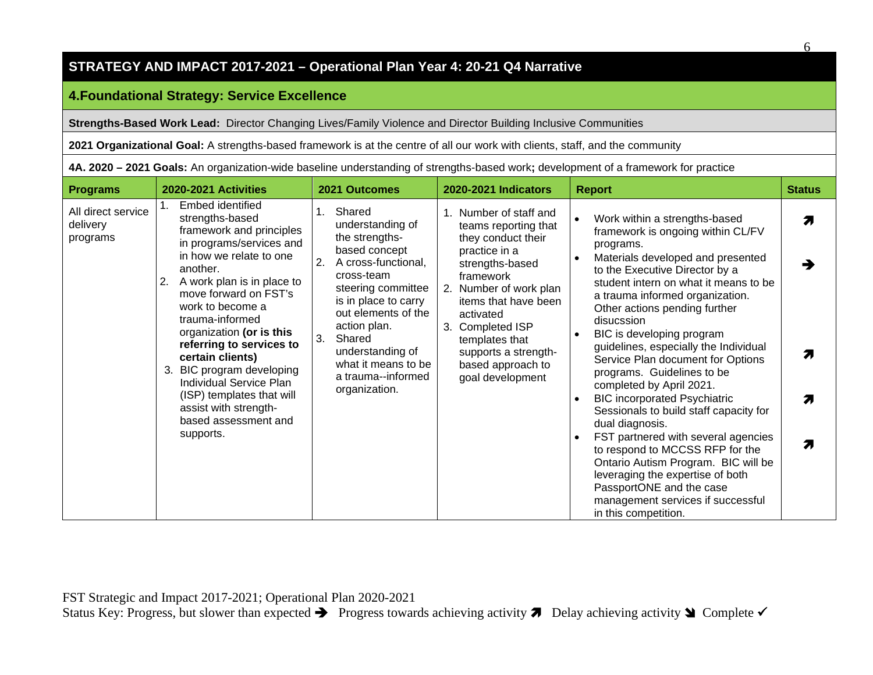# **4.Foundational Strategy: Service Excellence**

**Strengths-Based Work Lead:** Director Changing Lives/Family Violence and Director Building Inclusive Communities

**2021 Organizational Goal:** A strengths-based framework is at the centre of all our work with clients, staff, and the community

**4A. 2020 – 2021 Goals:** An organization-wide baseline understanding of strengths-based work**;** development of a framework for practice

| <b>Programs</b>                            | 2020-2021 Activities                                                                                                                                                                                                                                                                                                                                                                                                                                                  | 2021 Outcomes                                                                                                                                                                                                                                                                                                  | 2020-2021 Indicators                                                                                                                                                                                                                                                                                  | <b>Report</b>                                                                                                                                                                                                                                                                                                                                                                                                                                                                                                                                                                                                                                                                                                                                                                                            | <b>Status</b> |
|--------------------------------------------|-----------------------------------------------------------------------------------------------------------------------------------------------------------------------------------------------------------------------------------------------------------------------------------------------------------------------------------------------------------------------------------------------------------------------------------------------------------------------|----------------------------------------------------------------------------------------------------------------------------------------------------------------------------------------------------------------------------------------------------------------------------------------------------------------|-------------------------------------------------------------------------------------------------------------------------------------------------------------------------------------------------------------------------------------------------------------------------------------------------------|----------------------------------------------------------------------------------------------------------------------------------------------------------------------------------------------------------------------------------------------------------------------------------------------------------------------------------------------------------------------------------------------------------------------------------------------------------------------------------------------------------------------------------------------------------------------------------------------------------------------------------------------------------------------------------------------------------------------------------------------------------------------------------------------------------|---------------|
| All direct service<br>delivery<br>programs | Embed identified<br>strengths-based<br>framework and principles<br>in programs/services and<br>in how we relate to one<br>another.<br>A work plan is in place to<br>2.<br>move forward on FST's<br>work to become a<br>trauma-informed<br>organization (or is this<br>referring to services to<br>certain clients)<br>3. BIC program developing<br>Individual Service Plan<br>(ISP) templates that will<br>assist with strength-<br>based assessment and<br>supports. | Shared<br>$1_{\cdot}$<br>understanding of<br>the strengths-<br>based concept<br>2.<br>A cross-functional,<br>cross-team<br>steering committee<br>is in place to carry<br>out elements of the<br>action plan.<br>3.<br>Shared<br>understanding of<br>what it means to be<br>a trauma--informed<br>organization. | Number of staff and<br>teams reporting that<br>they conduct their<br>practice in a<br>strengths-based<br>framework<br>Number of work plan<br>2.<br>items that have been<br>activated<br><b>Completed ISP</b><br>3.<br>templates that<br>supports a strength-<br>based approach to<br>goal development | Work within a strengths-based<br>framework is ongoing within CL/FV<br>programs.<br>Materials developed and presented<br>to the Executive Director by a<br>student intern on what it means to be<br>a trauma informed organization.<br>Other actions pending further<br>disucssion<br>BIC is developing program<br>guidelines, especially the Individual<br>Service Plan document for Options<br>programs. Guidelines to be<br>completed by April 2021.<br><b>BIC incorporated Psychiatric</b><br>Sessionals to build staff capacity for<br>dual diagnosis.<br>FST partnered with several agencies<br>to respond to MCCSS RFP for the<br>Ontario Autism Program. BIC will be<br>leveraging the expertise of both<br>PassportONE and the case<br>management services if successful<br>in this competition. | Я<br>Л<br>Я   |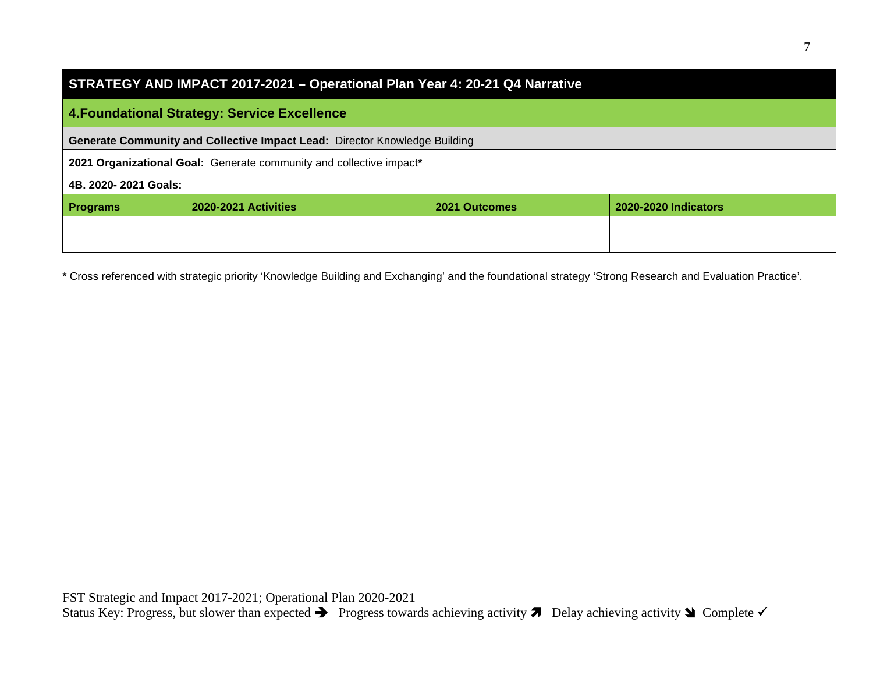| STRATEGY AND IMPACT 2017-2021 – Operational Plan Year 4: 20-21 Q4 Narrative |  |
|-----------------------------------------------------------------------------|--|
|-----------------------------------------------------------------------------|--|

# **4.Foundational Strategy: Service Excellence**

**Generate Community and Collective Impact Lead:** Director Knowledge Building

**2021 Organizational Goal:** Generate community and collective impact**\*** 

#### **4B. 2020- 2021 Goals:**

| <b>Programs</b> | <b>2020-2021 Activities</b> | 2021 Outcomes | 2020-2020 Indicators |
|-----------------|-----------------------------|---------------|----------------------|
|                 |                             |               |                      |
|                 |                             |               |                      |

\* Cross referenced with strategic priority 'Knowledge Building and Exchanging' and the foundational strategy 'Strong Research and Evaluation Practice'.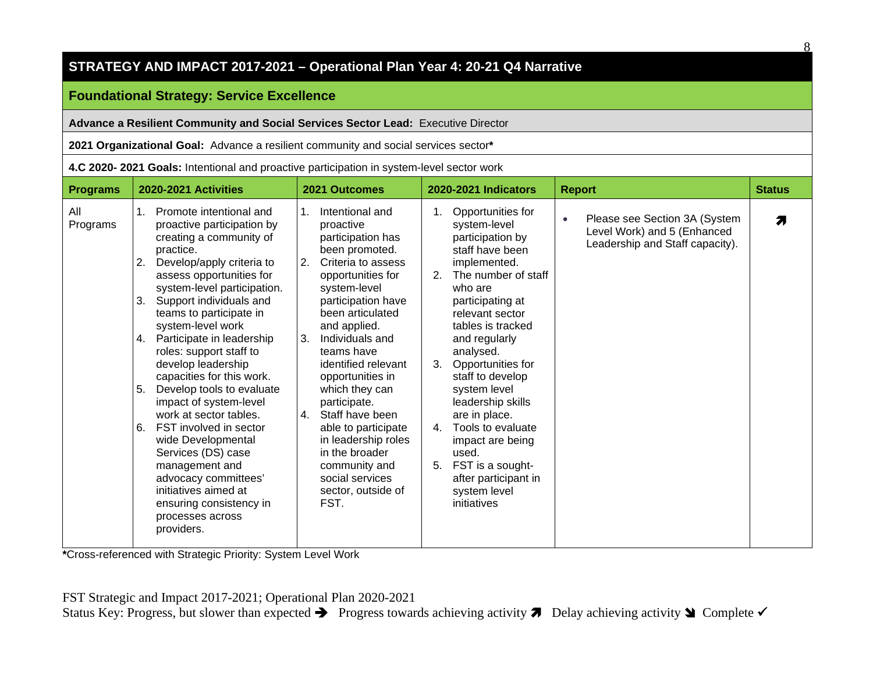# **Foundational Strategy: Service Excellence**

**Advance a Resilient Community and Social Services Sector Lead:** Executive Director

**2021 Organizational Goal:** Advance a resilient community and social services sector**\***

**4.C 2020- 2021 Goals:** Intentional and proactive participation in system-level sector work

| <b>Programs</b> | 2020-2021 Activities                                                                                                                                                                                                                                                                                                                                                                                                                                                                                                                                                                                                                                                                                           | 2021 Outcomes                                                                                                                                                                                                                                                                                                                                                                                                                                                                                | 2020-2021 Indicators                                                                                                                                                                                                                                                                                                                                                                                                                                                                 | <b>Report</b>                                                                                                | <b>Status</b> |
|-----------------|----------------------------------------------------------------------------------------------------------------------------------------------------------------------------------------------------------------------------------------------------------------------------------------------------------------------------------------------------------------------------------------------------------------------------------------------------------------------------------------------------------------------------------------------------------------------------------------------------------------------------------------------------------------------------------------------------------------|----------------------------------------------------------------------------------------------------------------------------------------------------------------------------------------------------------------------------------------------------------------------------------------------------------------------------------------------------------------------------------------------------------------------------------------------------------------------------------------------|--------------------------------------------------------------------------------------------------------------------------------------------------------------------------------------------------------------------------------------------------------------------------------------------------------------------------------------------------------------------------------------------------------------------------------------------------------------------------------------|--------------------------------------------------------------------------------------------------------------|---------------|
| All<br>Programs | Promote intentional and<br>$1_{\cdot}$<br>proactive participation by<br>creating a community of<br>practice.<br>Develop/apply criteria to<br>2.<br>assess opportunities for<br>system-level participation.<br>3.<br>Support individuals and<br>teams to participate in<br>system-level work<br>Participate in leadership<br>4.<br>roles: support staff to<br>develop leadership<br>capacities for this work.<br>5.<br>Develop tools to evaluate<br>impact of system-level<br>work at sector tables.<br>6.<br>FST involved in sector<br>wide Developmental<br>Services (DS) case<br>management and<br>advocacy committees'<br>initiatives aimed at<br>ensuring consistency in<br>processes across<br>providers. | Intentional and<br>$1_{\cdot}$<br>proactive<br>participation has<br>been promoted.<br>Criteria to assess<br>2.<br>opportunities for<br>system-level<br>participation have<br>been articulated<br>and applied.<br>3.<br>Individuals and<br>teams have<br>identified relevant<br>opportunities in<br>which they can<br>participate.<br>Staff have been<br>4.<br>able to participate<br>in leadership roles<br>in the broader<br>community and<br>social services<br>sector, outside of<br>FST. | Opportunities for<br>system-level<br>participation by<br>staff have been<br>implemented.<br>The number of staff<br>2.<br>who are<br>participating at<br>relevant sector<br>tables is tracked<br>and regularly<br>analysed.<br>3.<br>Opportunities for<br>staff to develop<br>system level<br>leadership skills<br>are in place.<br>Tools to evaluate<br>4 <sub>1</sub><br>impact are being<br>used.<br>FST is a sought-<br>5.<br>after participant in<br>system level<br>initiatives | Please see Section 3A (System<br>$\bullet$<br>Level Work) and 5 (Enhanced<br>Leadership and Staff capacity). | Я             |

**\***Cross-referenced with Strategic Priority: System Level Work

8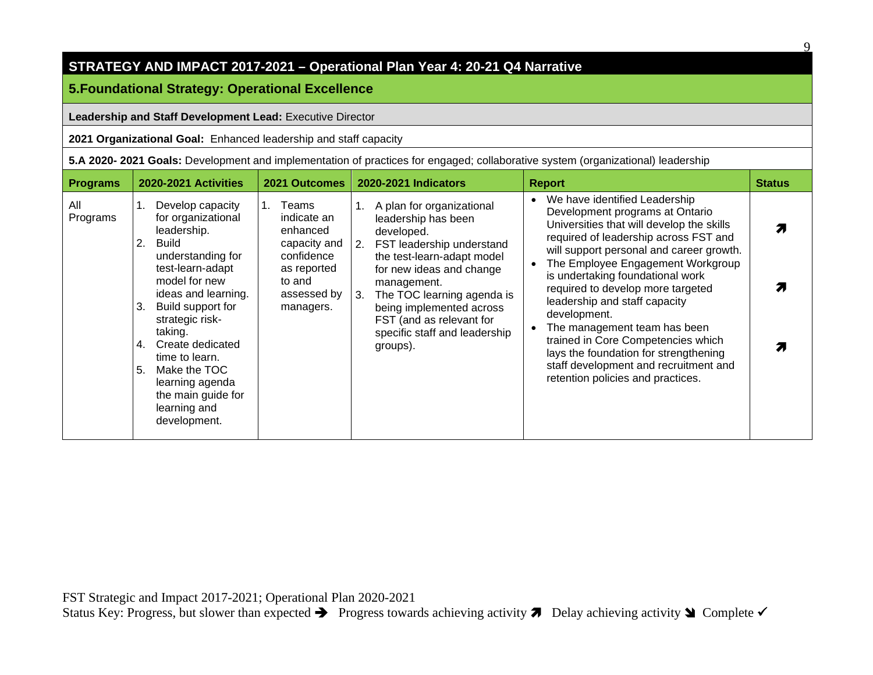# **5.Foundational Strategy: Operational Excellence**

#### **Leadership and Staff Development Lead:** Executive Director

**2021 Organizational Goal:** Enhanced leadership and staff capacity

**5.A 2020- 2021 Goals:** Development and implementation of practices for engaged; collaborative system (organizational) leadership

| <b>Programs</b> | 2020-2021 Activities                                                                                                                                                                                                                                                                                                                                      | 2021 Outcomes                                                                                                       | 2020-2021 Indicators                                                                                                                                                                                                                                                                                             | <b>Report</b>                                                                                                                                                                                                                                                                                                                                                                                                                                                                                                                                                               | <b>Status</b> |
|-----------------|-----------------------------------------------------------------------------------------------------------------------------------------------------------------------------------------------------------------------------------------------------------------------------------------------------------------------------------------------------------|---------------------------------------------------------------------------------------------------------------------|------------------------------------------------------------------------------------------------------------------------------------------------------------------------------------------------------------------------------------------------------------------------------------------------------------------|-----------------------------------------------------------------------------------------------------------------------------------------------------------------------------------------------------------------------------------------------------------------------------------------------------------------------------------------------------------------------------------------------------------------------------------------------------------------------------------------------------------------------------------------------------------------------------|---------------|
| All<br>Programs | Develop capacity<br>for organizational<br>leadership.<br>2.<br>Build<br>understanding for<br>test-learn-adapt<br>model for new<br>ideas and learning.<br>Build support for<br>3.<br>strategic risk-<br>taking.<br>Create dedicated<br>4.<br>time to learn.<br>5.<br>Make the TOC<br>learning agenda<br>the main guide for<br>learning and<br>development. | Teams<br>indicate an<br>enhanced<br>capacity and<br>confidence<br>as reported<br>to and<br>assessed by<br>managers. | A plan for organizational<br>leadership has been<br>developed.<br>2. FST leadership understand<br>the test-learn-adapt model<br>for new ideas and change<br>management.<br>The TOC learning agenda is<br>3.<br>being implemented across<br>FST (and as relevant for<br>specific staff and leadership<br>groups). | We have identified Leadership<br>$\bullet$<br>Development programs at Ontario<br>Universities that will develop the skills<br>required of leadership across FST and<br>will support personal and career growth.<br>The Employee Engagement Workgroup<br>is undertaking foundational work<br>required to develop more targeted<br>leadership and staff capacity<br>development.<br>The management team has been<br>trained in Core Competencies which<br>lays the foundation for strengthening<br>staff development and recruitment and<br>retention policies and practices. |               |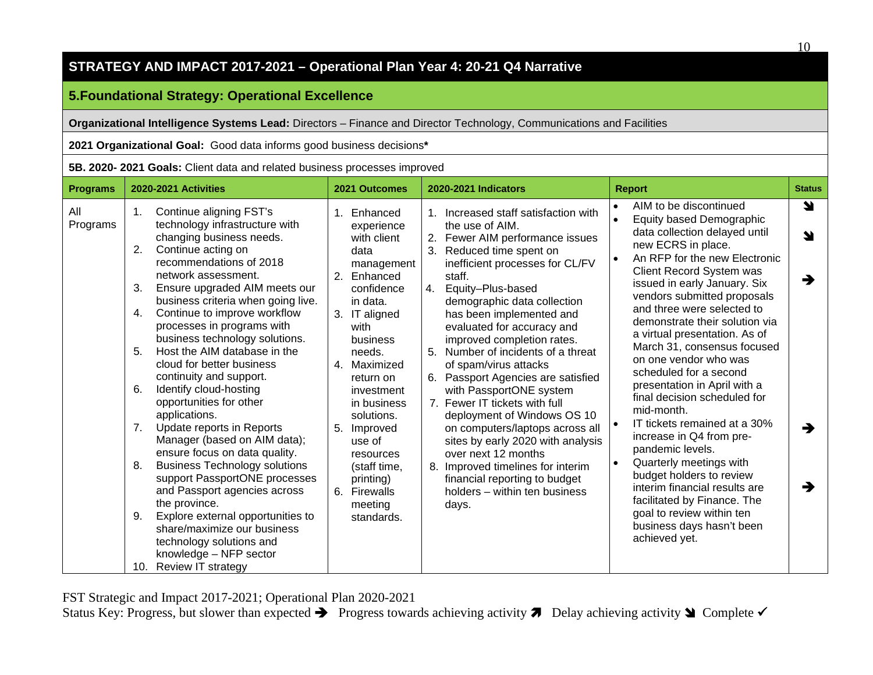# **5.Foundational Strategy: Operational Excellence**

**Organizational Intelligence Systems Lead:** Directors – Finance and Director Technology, Communications and Facilities

**2021 Organizational Goal:** Good data informs good business decisions**\***

**5B. 2020- 2021 Goals:** Client data and related business processes improved

| <b>Programs</b> | 2020-2021 Activities                                                                                                                                                                                                                                                                                                                                                                                                                                                                                                                                                                                                                                                                                                                                                                                                                                                                                                                 | 2021 Outcomes                                                                                                                                                                                                                                                                                                                              | <b>2020-2021 Indicators</b>                                                                                                                                                                                                                                                                                                                                                                                                                                                                                                                                                                                                                                                                                                             | <b>Report</b>                                                                                                                                                                                                                                                                                                                                                                                                                                                                                                                                                                                                                                                                                                                                                                                                                                             | <b>Status</b>         |
|-----------------|--------------------------------------------------------------------------------------------------------------------------------------------------------------------------------------------------------------------------------------------------------------------------------------------------------------------------------------------------------------------------------------------------------------------------------------------------------------------------------------------------------------------------------------------------------------------------------------------------------------------------------------------------------------------------------------------------------------------------------------------------------------------------------------------------------------------------------------------------------------------------------------------------------------------------------------|--------------------------------------------------------------------------------------------------------------------------------------------------------------------------------------------------------------------------------------------------------------------------------------------------------------------------------------------|-----------------------------------------------------------------------------------------------------------------------------------------------------------------------------------------------------------------------------------------------------------------------------------------------------------------------------------------------------------------------------------------------------------------------------------------------------------------------------------------------------------------------------------------------------------------------------------------------------------------------------------------------------------------------------------------------------------------------------------------|-----------------------------------------------------------------------------------------------------------------------------------------------------------------------------------------------------------------------------------------------------------------------------------------------------------------------------------------------------------------------------------------------------------------------------------------------------------------------------------------------------------------------------------------------------------------------------------------------------------------------------------------------------------------------------------------------------------------------------------------------------------------------------------------------------------------------------------------------------------|-----------------------|
| All<br>Programs | Continue aligning FST's<br>1.<br>technology infrastructure with<br>changing business needs.<br>2.<br>Continue acting on<br>recommendations of 2018<br>network assessment.<br>3.<br>Ensure upgraded AIM meets our<br>business criteria when going live.<br>Continue to improve workflow<br>4.<br>processes in programs with<br>business technology solutions.<br>Host the AIM database in the<br>5.<br>cloud for better business<br>continuity and support.<br>Identify cloud-hosting<br>6.<br>opportunities for other<br>applications.<br>Update reports in Reports<br>7.<br>Manager (based on AIM data);<br>ensure focus on data quality.<br><b>Business Technology solutions</b><br>8.<br>support PassportONE processes<br>and Passport agencies across<br>the province.<br>Explore external opportunities to<br>9.<br>share/maximize our business<br>technology solutions and<br>knowledge - NFP sector<br>10. Review IT strategy | 1. Enhanced<br>experience<br>with client<br>data<br>management<br>2. Enhanced<br>confidence<br>in data.<br>3. IT aligned<br>with<br>business<br>needs.<br>4. Maximized<br>return on<br>investment<br>in business<br>solutions.<br>5. Improved<br>use of<br>resources<br>(staff time,<br>printing)<br>6. Firewalls<br>meeting<br>standards. | 1. Increased staff satisfaction with<br>the use of AIM.<br>2. Fewer AIM performance issues<br>3.<br>Reduced time spent on<br>inefficient processes for CL/FV<br>staff.<br>Equity-Plus-based<br>4.<br>demographic data collection<br>has been implemented and<br>evaluated for accuracy and<br>improved completion rates.<br>5. Number of incidents of a threat<br>of spam/virus attacks<br>6. Passport Agencies are satisfied<br>with PassportONE system<br>7. Fewer IT tickets with full<br>deployment of Windows OS 10<br>on computers/laptops across all<br>sites by early 2020 with analysis<br>over next 12 months<br>8. Improved timelines for interim<br>financial reporting to budget<br>holders - within ten business<br>days. | AIM to be discontinued<br>$\bullet$<br>$\bullet$<br>Equity based Demographic<br>data collection delayed until<br>new ECRS in place.<br>An RFP for the new Electronic<br>$\bullet$<br>Client Record System was<br>issued in early January. Six<br>vendors submitted proposals<br>and three were selected to<br>demonstrate their solution via<br>a virtual presentation. As of<br>March 31, consensus focused<br>on one vendor who was<br>scheduled for a second<br>presentation in April with a<br>final decision scheduled for<br>mid-month.<br>IT tickets remained at a 30%<br>$\bullet$<br>increase in Q4 from pre-<br>pandemic levels.<br>Quarterly meetings with<br>$\bullet$<br>budget holders to review<br>interim financial results are<br>facilitated by Finance. The<br>goal to review within ten<br>business days hasn't been<br>achieved yet. | Y<br>N<br>→<br>→<br>→ |

FST Strategic and Impact 2017-2021; Operational Plan 2020-2021

Status Key: Progress, but slower than expected  $\rightarrow$  Progress towards achieving activity  $\rightarrow$  Delay achieving activity  $\rightarrow$  Complete  $\sim$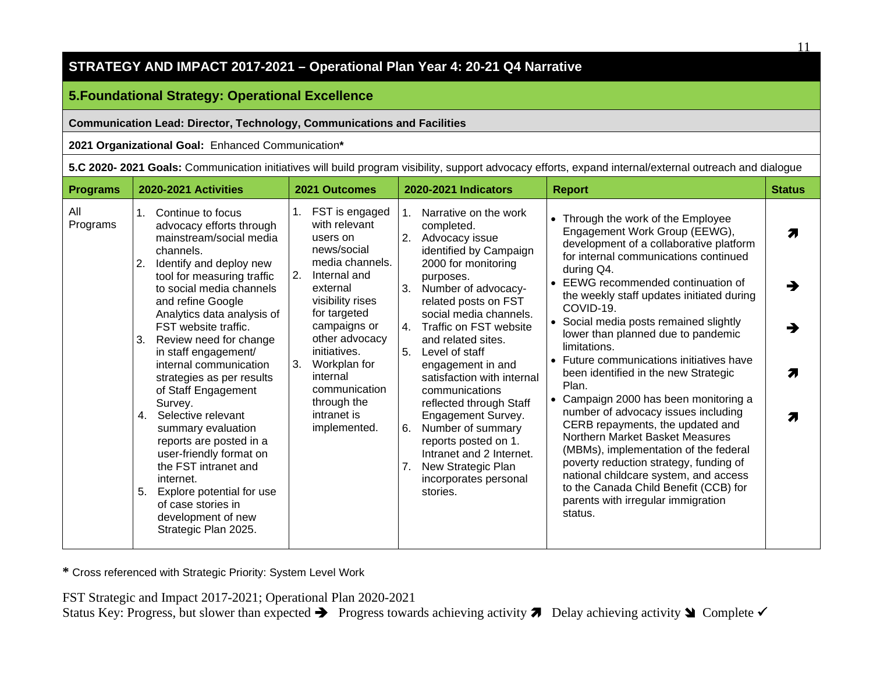# **5.Foundational Strategy: Operational Excellence**

#### **Communication Lead: Director, Technology, Communications and Facilities**

#### **2021 Organizational Goal:** Enhanced Communication**\***

| <b>Programs</b> | 2020-2021 Activities                                                                                                                                                                                                                                                                                                                                                                                                                                                                                                                                                                                                                                                         | 2021 Outcomes                                                                                                                                                                                                                                                                                                | 2020-2021 Indicators                                                                                                                                                                                                                                                                                                                                                                                                                                                                                                                                                  | <b>Report</b>                                                                                                                                                                                                                                                                                                                                                                                                                                                                                                                                                                                                                                                                                                                                                                                                                                        | <b>Status</b> |
|-----------------|------------------------------------------------------------------------------------------------------------------------------------------------------------------------------------------------------------------------------------------------------------------------------------------------------------------------------------------------------------------------------------------------------------------------------------------------------------------------------------------------------------------------------------------------------------------------------------------------------------------------------------------------------------------------------|--------------------------------------------------------------------------------------------------------------------------------------------------------------------------------------------------------------------------------------------------------------------------------------------------------------|-----------------------------------------------------------------------------------------------------------------------------------------------------------------------------------------------------------------------------------------------------------------------------------------------------------------------------------------------------------------------------------------------------------------------------------------------------------------------------------------------------------------------------------------------------------------------|------------------------------------------------------------------------------------------------------------------------------------------------------------------------------------------------------------------------------------------------------------------------------------------------------------------------------------------------------------------------------------------------------------------------------------------------------------------------------------------------------------------------------------------------------------------------------------------------------------------------------------------------------------------------------------------------------------------------------------------------------------------------------------------------------------------------------------------------------|---------------|
| All<br>Programs | Continue to focus<br>$1_{\cdot}$<br>advocacy efforts through<br>mainstream/social media<br>channels.<br>Identify and deploy new<br>2.<br>tool for measuring traffic<br>to social media channels<br>and refine Google<br>Analytics data analysis of<br>FST website traffic.<br>Review need for change<br>3.<br>in staff engagement/<br>internal communication<br>strategies as per results<br>of Staff Engagement<br>Survey.<br>4. Selective relevant<br>summary evaluation<br>reports are posted in a<br>user-friendly format on<br>the FST intranet and<br>internet.<br>5.<br>Explore potential for use<br>of case stories in<br>development of new<br>Strategic Plan 2025. | FST is engaged<br>1.<br>with relevant<br>users on<br>news/social<br>media channels.<br>2.<br>Internal and<br>external<br>visibility rises<br>for targeted<br>campaigns or<br>other advocacy<br>initiatives.<br>3.<br>Workplan for<br>internal<br>communication<br>through the<br>intranet is<br>implemented. | Narrative on the work<br>$1_{\cdot}$<br>completed.<br>Advocacy issue<br>2.<br>identified by Campaign<br>2000 for monitoring<br>purposes.<br>Number of advocacy-<br>3.<br>related posts on FST<br>social media channels.<br>Traffic on FST website<br>4.<br>and related sites.<br>Level of staff<br>5.<br>engagement in and<br>satisfaction with internal<br>communications<br>reflected through Staff<br>Engagement Survey.<br>Number of summary<br>6.<br>reports posted on 1.<br>Intranet and 2 Internet.<br>New Strategic Plan<br>incorporates personal<br>stories. | Through the work of the Employee<br>Engagement Work Group (EEWG),<br>development of a collaborative platform<br>for internal communications continued<br>during Q4.<br>EEWG recommended continuation of<br>the weekly staff updates initiated during<br>COVID-19.<br>• Social media posts remained slightly<br>lower than planned due to pandemic<br>limitations.<br>Future communications initiatives have<br>been identified in the new Strategic<br>Plan.<br>Campaign 2000 has been monitoring a<br>$\bullet$<br>number of advocacy issues including<br>CERB repayments, the updated and<br>Northern Market Basket Measures<br>(MBMs), implementation of the federal<br>poverty reduction strategy, funding of<br>national childcare system, and access<br>to the Canada Child Benefit (CCB) for<br>parents with irregular immigration<br>status. | Я<br>7.<br>Я  |

**\*** Cross referenced with Strategic Priority: System Level Work

FST Strategic and Impact 2017-2021; Operational Plan 2020-2021

Status Key: Progress, but slower than expected  $\rightarrow$  Progress towards achieving activity  $\rightarrow$  Delay achieving activity  $\rightarrow$  Complete  $\sim$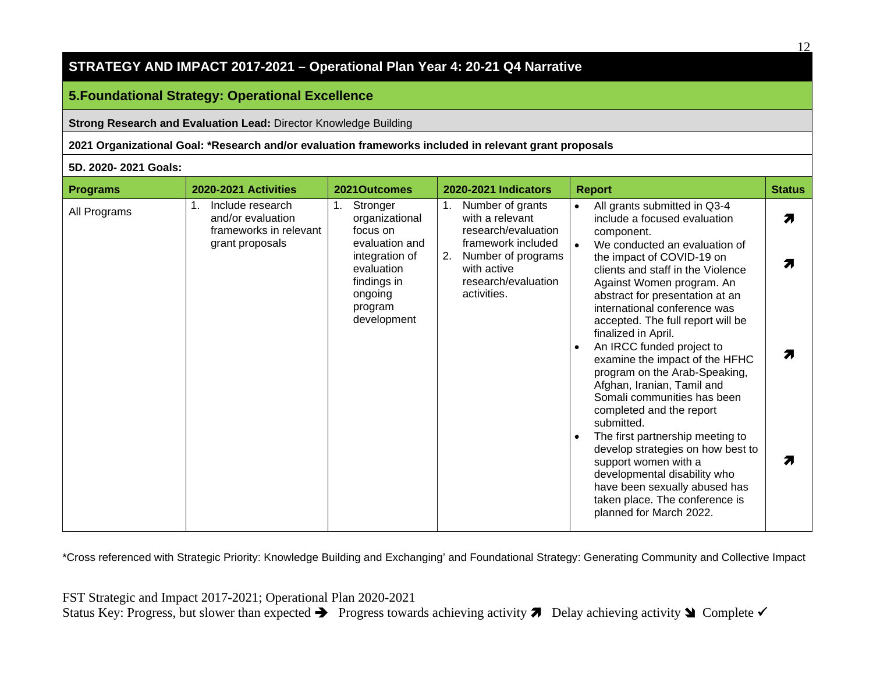#### **5.Foundational Strategy: Operational Excellence**

**Strong Research and Evaluation Lead:** Director Knowledge Building

**2021 Organizational Goal: \*Research and/or evaluation frameworks included in relevant grant proposals**

#### **5D. 2020- 2021 Goals:**

| <b>Programs</b> | <b>2020-2021 Activities</b>                                           | 2021Outcomes                                                                                       | <b>2020-2021 Indicators</b>                                                                         | <b>Report</b>                                                                                                                                                                                                                                               | <b>Status</b> |
|-----------------|-----------------------------------------------------------------------|----------------------------------------------------------------------------------------------------|-----------------------------------------------------------------------------------------------------|-------------------------------------------------------------------------------------------------------------------------------------------------------------------------------------------------------------------------------------------------------------|---------------|
| All Programs    | Include research<br>1.<br>and/or evaluation<br>frameworks in relevant | Stronger<br>organizational<br>focus on                                                             | Number of grants<br>1.<br>with a relevant<br>research/evaluation                                    | All grants submitted in Q3-4<br>$\bullet$<br>include a focused evaluation<br>component.                                                                                                                                                                     | 71            |
|                 | grant proposals                                                       | evaluation and<br>integration of<br>evaluation<br>findings in<br>ongoing<br>program<br>development | framework included<br>2.<br>Number of programs<br>with active<br>research/evaluation<br>activities. | We conducted an evaluation of<br>the impact of COVID-19 on<br>clients and staff in the Violence<br>Against Women program. An<br>abstract for presentation at an<br>international conference was<br>accepted. The full report will be<br>finalized in April. |               |
|                 |                                                                       |                                                                                                    |                                                                                                     | An IRCC funded project to<br>$\bullet$<br>examine the impact of the HFHC<br>program on the Arab-Speaking,<br>Afghan, Iranian, Tamil and<br>Somali communities has been<br>completed and the report<br>submitted.                                            |               |
|                 |                                                                       |                                                                                                    |                                                                                                     | The first partnership meeting to<br>develop strategies on how best to<br>support women with a<br>developmental disability who<br>have been sexually abused has<br>taken place. The conference is<br>planned for March 2022.                                 |               |

\*Cross referenced with Strategic Priority: Knowledge Building and Exchanging' and Foundational Strategy: Generating Community and Collective Impact

 $12$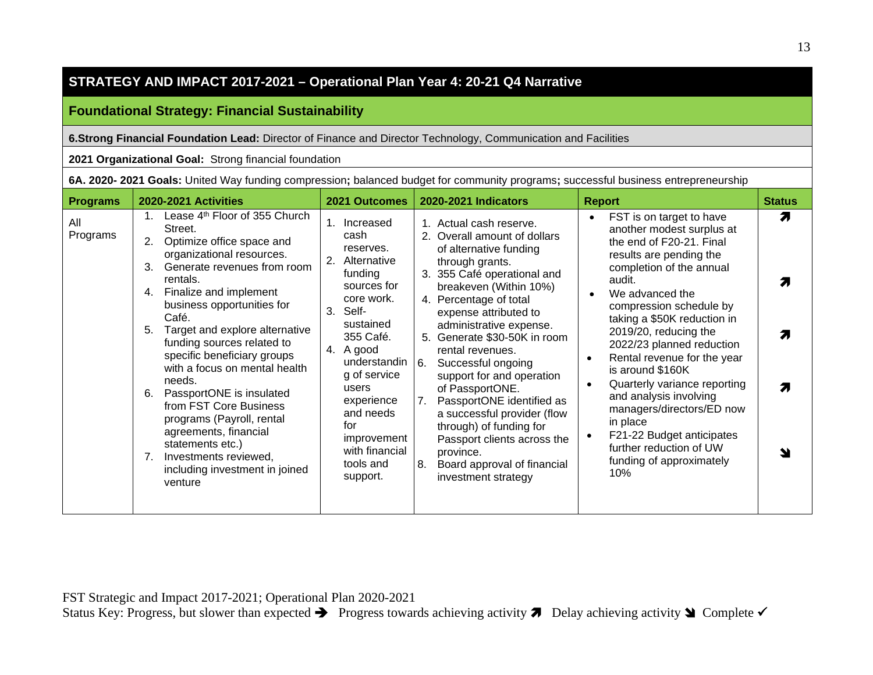## **Foundational Strategy: Financial Sustainability**

#### **6.Strong Financial Foundation Lead:** Director of Finance and Director Technology, Communication and Facilities

#### **2021 Organizational Goal:** Strong financial foundation

| 6A. 2020- 2021 Goals: United Way funding compression; balanced budget for community programs; successful business entrepreneurship |  |  |  |  |  |  |
|------------------------------------------------------------------------------------------------------------------------------------|--|--|--|--|--|--|
|------------------------------------------------------------------------------------------------------------------------------------|--|--|--|--|--|--|

| <b>Programs</b> | 2020-2021 Activities                                                                                                                                                                                                                                                                                                                                                                                                                                                                                                                                                                                           | 2021 Outcomes                                                                                                                                                                                                                                                                          | 2020-2021 Indicators                                                                                                                                                                                                                                                                                                                                                                                                                                                                                                                                                             | <b>Report</b>                                                                                                                                                                                                                                                                                                                                                                                                                                                                                                                                                    | <b>Status</b> |
|-----------------|----------------------------------------------------------------------------------------------------------------------------------------------------------------------------------------------------------------------------------------------------------------------------------------------------------------------------------------------------------------------------------------------------------------------------------------------------------------------------------------------------------------------------------------------------------------------------------------------------------------|----------------------------------------------------------------------------------------------------------------------------------------------------------------------------------------------------------------------------------------------------------------------------------------|----------------------------------------------------------------------------------------------------------------------------------------------------------------------------------------------------------------------------------------------------------------------------------------------------------------------------------------------------------------------------------------------------------------------------------------------------------------------------------------------------------------------------------------------------------------------------------|------------------------------------------------------------------------------------------------------------------------------------------------------------------------------------------------------------------------------------------------------------------------------------------------------------------------------------------------------------------------------------------------------------------------------------------------------------------------------------------------------------------------------------------------------------------|---------------|
| All<br>Programs | Lease 4 <sup>th</sup> Floor of 355 Church<br>Street.<br>2.<br>Optimize office space and<br>organizational resources.<br>Generate revenues from room<br>3.<br>rentals.<br>Finalize and implement<br>4.<br>business opportunities for<br>Café.<br>Target and explore alternative<br>5.<br>funding sources related to<br>specific beneficiary groups<br>with a focus on mental health<br>needs.<br>PassportONE is insulated<br>6.<br>from FST Core Business<br>programs (Payroll, rental<br>agreements, financial<br>statements etc.)<br>Investments reviewed,<br>7.<br>including investment in joined<br>venture | 1. Increased<br>cash<br>reserves.<br>2. Alternative<br>funding<br>sources for<br>core work.<br>3.<br>Self-<br>sustained<br>355 Café.<br>4. A good<br>understandin<br>g of service<br>users<br>experience<br>and needs<br>for<br>improvement<br>with financial<br>tools and<br>support. | 1. Actual cash reserve.<br>2. Overall amount of dollars<br>of alternative funding<br>through grants.<br>3. 355 Café operational and<br>breakeven (Within 10%)<br>4. Percentage of total<br>expense attributed to<br>administrative expense.<br>5. Generate \$30-50K in room<br>rental revenues.<br>Successful ongoing<br>6.<br>support for and operation<br>of PassportONE.<br>PassportONE identified as<br>7.<br>a successful provider (flow<br>through) of funding for<br>Passport clients across the<br>province.<br>Board approval of financial<br>8.<br>investment strategy | FST is on target to have<br>another modest surplus at<br>the end of F20-21. Final<br>results are pending the<br>completion of the annual<br>audit.<br>We advanced the<br>compression schedule by<br>taking a \$50K reduction in<br>2019/20, reducing the<br>2022/23 planned reduction<br>Rental revenue for the year<br>$\bullet$<br>is around \$160K<br>Quarterly variance reporting<br>$\bullet$<br>and analysis involving<br>managers/directors/ED now<br>in place<br>F21-22 Budget anticipates<br>further reduction of UW<br>funding of approximately<br>10% | Я<br>7.       |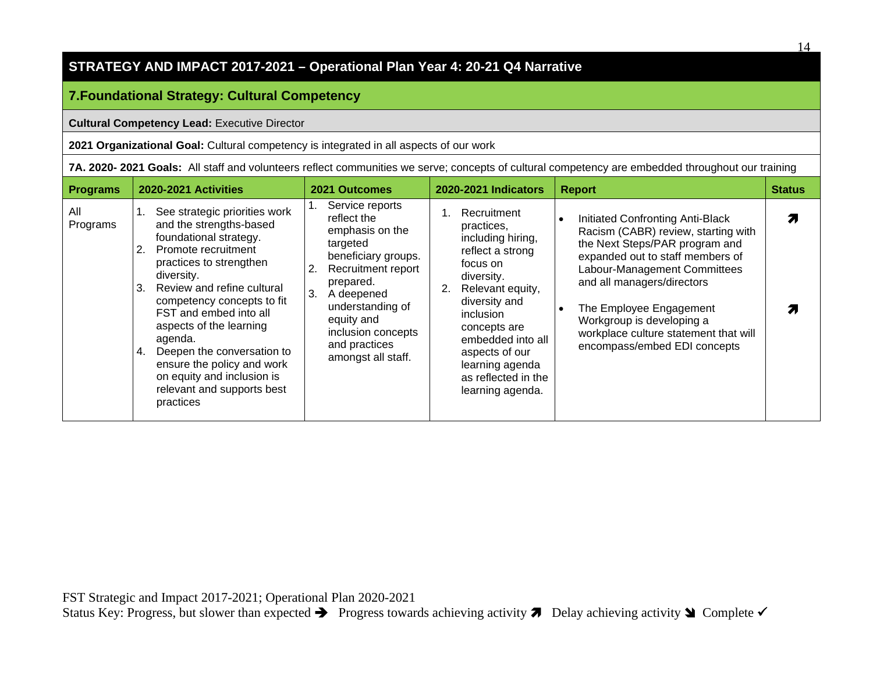# **7.Foundational Strategy: Cultural Competency**

#### **Cultural Competency Lead:** Executive Director

**2021 Organizational Goal:** Cultural competency is integrated in all aspects of our work

|  |  |  | 7A. 2020- 2021 Goals: All staff and volunteers reflect communities we serve; concepts of cultural competency are embedded throughout our training |
|--|--|--|---------------------------------------------------------------------------------------------------------------------------------------------------|
|--|--|--|---------------------------------------------------------------------------------------------------------------------------------------------------|

| <b>Programs</b> | 2020-2021 Activities                                                                                                                                                                                                                                                                                                                                                                                                               | 2021 Outcomes                                                                                                                                                                                                                                    | <b>2020-2021 Indicators</b>                                                                                                                                                                                                                                                      | <b>Report</b>                                                                                                                                                                                                                                                                                                                                             | <b>Status</b> |
|-----------------|------------------------------------------------------------------------------------------------------------------------------------------------------------------------------------------------------------------------------------------------------------------------------------------------------------------------------------------------------------------------------------------------------------------------------------|--------------------------------------------------------------------------------------------------------------------------------------------------------------------------------------------------------------------------------------------------|----------------------------------------------------------------------------------------------------------------------------------------------------------------------------------------------------------------------------------------------------------------------------------|-----------------------------------------------------------------------------------------------------------------------------------------------------------------------------------------------------------------------------------------------------------------------------------------------------------------------------------------------------------|---------------|
| All<br>Programs | See strategic priorities work<br>and the strengths-based<br>foundational strategy.<br>2. Promote recruitment<br>practices to strengthen<br>diversity.<br>Review and refine cultural<br>3.<br>competency concepts to fit<br>FST and embed into all<br>aspects of the learning<br>agenda.<br>Deepen the conversation to<br>4.<br>ensure the policy and work<br>on equity and inclusion is<br>relevant and supports best<br>practices | Service reports<br>reflect the<br>emphasis on the<br>targeted<br>beneficiary groups.<br>Recruitment report<br>2.<br>prepared.<br>3.<br>A deepened<br>understanding of<br>equity and<br>inclusion concepts<br>and practices<br>amongst all staff. | Recruitment<br>practices,<br>including hiring,<br>reflect a strong<br>focus on<br>diversity.<br>2.<br>Relevant equity,<br>diversity and<br><i>inclusion</i><br>concepts are<br>embedded into all<br>aspects of our<br>learning agenda<br>as reflected in the<br>learning agenda. | Initiated Confronting Anti-Black<br>$\bullet$<br>Racism (CABR) review, starting with<br>the Next Steps/PAR program and<br>expanded out to staff members of<br>Labour-Management Committees<br>and all managers/directors<br>The Employee Engagement<br>Workgroup is developing a<br>workplace culture statement that will<br>encompass/embed EDI concepts |               |

14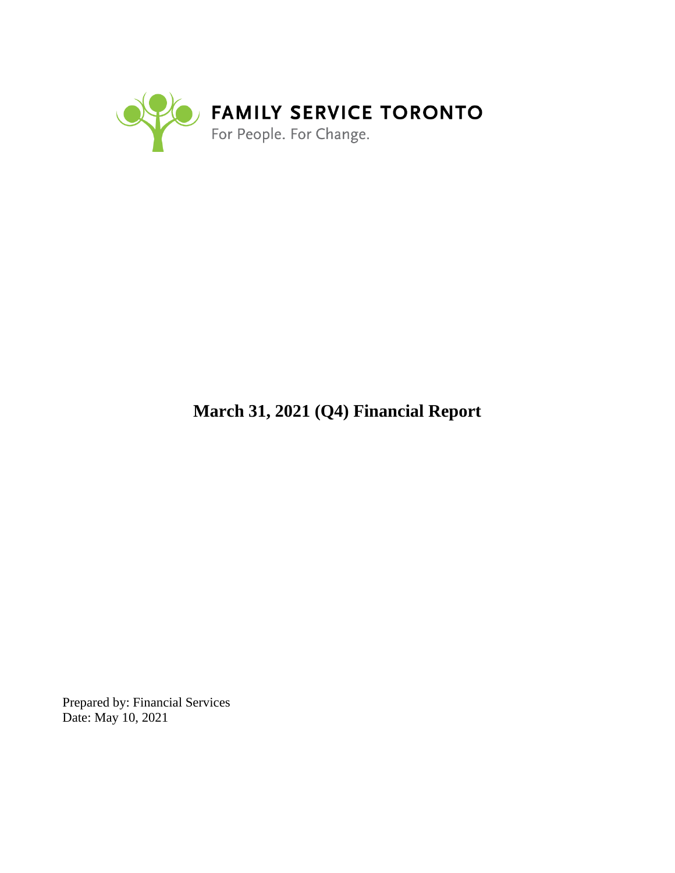

# **March 31, 2021 (Q4) Financial Report**

Prepared by: Financial Services Date: May 10, 2021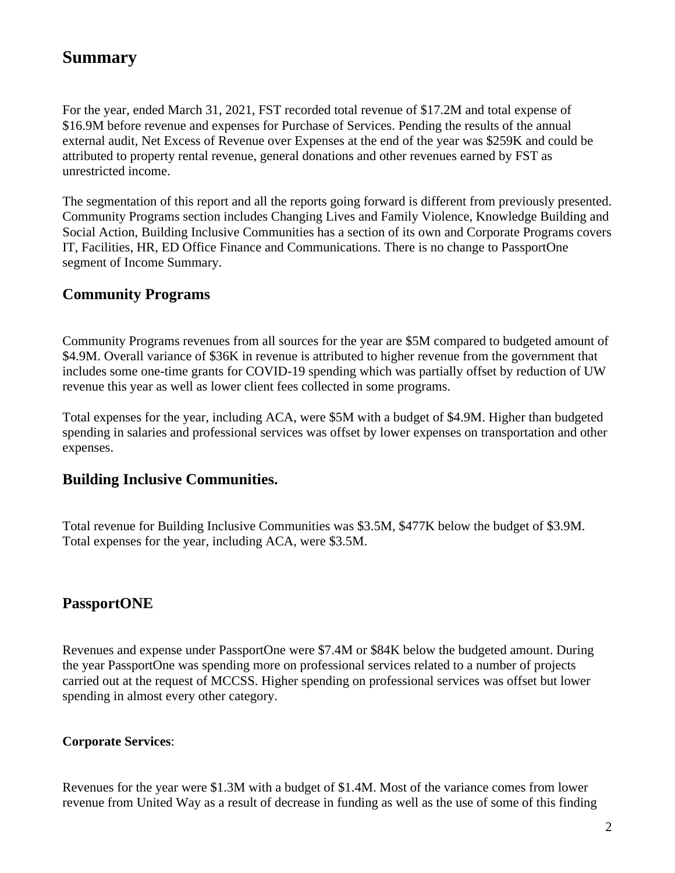# **Summary**

For the year, ended March 31, 2021, FST recorded total revenue of \$17.2M and total expense of \$16.9M before revenue and expenses for Purchase of Services. Pending the results of the annual external audit, Net Excess of Revenue over Expenses at the end of the year was \$259K and could be attributed to property rental revenue, general donations and other revenues earned by FST as unrestricted income.

The segmentation of this report and all the reports going forward is different from previously presented. Community Programs section includes Changing Lives and Family Violence, Knowledge Building and Social Action, Building Inclusive Communities has a section of its own and Corporate Programs covers IT, Facilities, HR, ED Office Finance and Communications. There is no change to PassportOne segment of Income Summary.

# **Community Programs**

Community Programs revenues from all sources for the year are \$5M compared to budgeted amount of \$4.9M. Overall variance of \$36K in revenue is attributed to higher revenue from the government that includes some one-time grants for COVID-19 spending which was partially offset by reduction of UW revenue this year as well as lower client fees collected in some programs.

Total expenses for the year, including ACA, were \$5M with a budget of \$4.9M. Higher than budgeted spending in salaries and professional services was offset by lower expenses on transportation and other expenses.

# **Building Inclusive Communities.**

Total revenue for Building Inclusive Communities was \$3.5M, \$477K below the budget of \$3.9M. Total expenses for the year, including ACA, were \$3.5M.

# **PassportONE**

Revenues and expense under PassportOne were \$7.4M or \$84K below the budgeted amount. During the year PassportOne was spending more on professional services related to a number of projects carried out at the request of MCCSS. Higher spending on professional services was offset but lower spending in almost every other category.

#### **Corporate Services**:

Revenues for the year were \$1.3M with a budget of \$1.4M. Most of the variance comes from lower revenue from United Way as a result of decrease in funding as well as the use of some of this finding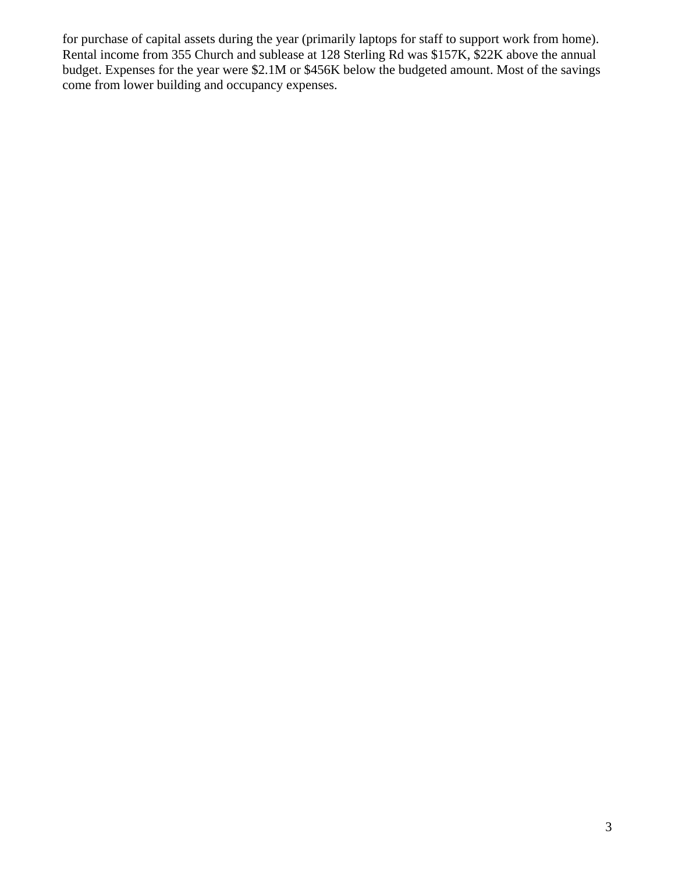for purchase of capital assets during the year (primarily laptops for staff to support work from home). Rental income from 355 Church and sublease at 128 Sterling Rd was \$157K, \$22K above the annual budget. Expenses for the year were \$2.1M or \$456K below the budgeted amount. Most of the savings come from lower building and occupancy expenses.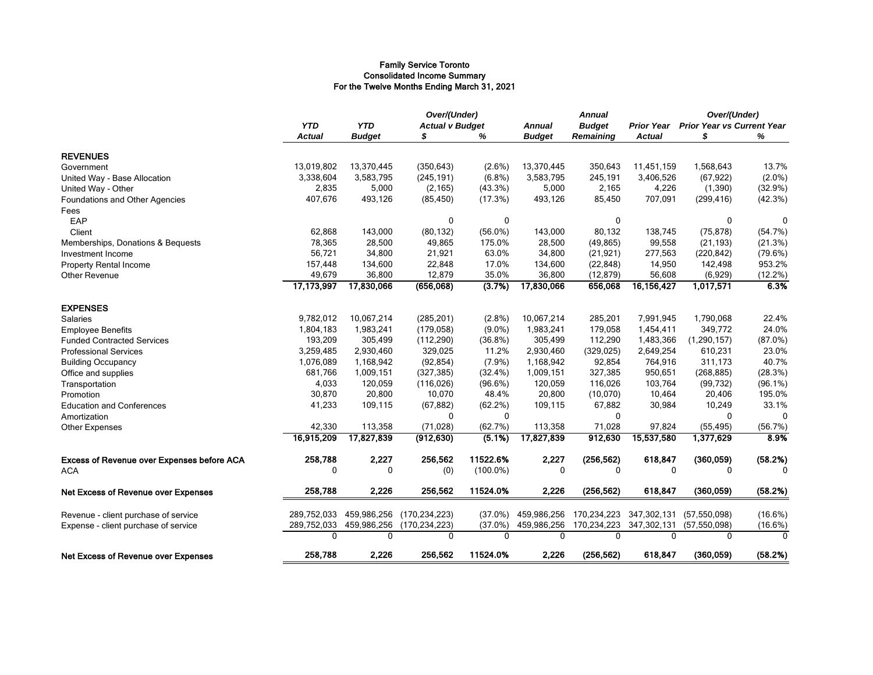#### Family Service Toronto Consolidated Income Summary For the Twelve Months Ending March 31, 2021

|                                                    |                             |                             |                 | Over/(Under)<br><b>Actual v Budget</b> |                                | <b>Annual</b>                     |                                    | Over/(Under)<br><b>Prior Year vs Current Year</b> |            |
|----------------------------------------------------|-----------------------------|-----------------------------|-----------------|----------------------------------------|--------------------------------|-----------------------------------|------------------------------------|---------------------------------------------------|------------|
|                                                    | <b>YTD</b><br><b>Actual</b> | <b>YTD</b><br><b>Budget</b> |                 | %                                      | <b>Annual</b><br><b>Budget</b> | <b>Budget</b><br><b>Remaining</b> | <b>Prior Year</b><br><b>Actual</b> | S                                                 | %          |
| <b>REVENUES</b>                                    |                             |                             |                 |                                        |                                |                                   |                                    |                                                   |            |
| Government                                         | 13,019,802                  | 13,370,445                  | (350, 643)      | $(2.6\%)$                              | 13,370,445                     | 350,643                           | 11,451,159                         | 1,568,643                                         | 13.7%      |
|                                                    | 3,338,604                   | 3,583,795                   | (245, 191)      | $(6.8\%)$                              | 3,583,795                      | 245,191                           | 3,406,526                          | (67, 922)                                         | $(2.0\%)$  |
| United Way - Base Allocation<br>United Way - Other | 2,835                       | 5,000                       | (2, 165)        | (43.3%)                                | 5,000                          | 2,165                             | 4,226                              | (1,390)                                           | (32.9%)    |
| Foundations and Other Agencies                     | 407,676                     | 493,126                     | (85, 450)       | (17.3%)                                | 493,126                        | 85,450                            | 707,091                            | (299, 416)                                        | (42.3%)    |
| Fees                                               |                             |                             |                 |                                        |                                |                                   |                                    |                                                   |            |
| EAP                                                |                             |                             | 0               | 0                                      |                                | 0                                 |                                    | 0                                                 | 0          |
| Client                                             | 62,868                      | 143,000                     | (80, 132)       | $(56.0\%)$                             | 143,000                        | 80,132                            | 138,745                            | (75, 878)                                         | (54.7%)    |
| Memberships, Donations & Bequests                  | 78,365                      | 28,500                      | 49,865          | 175.0%                                 | 28,500                         | (49, 865)                         | 99,558                             | (21, 193)                                         | (21.3%)    |
| Investment Income                                  | 56,721                      | 34,800                      | 21,921          | 63.0%                                  | 34,800                         | (21, 921)                         | 277,563                            | (220, 842)                                        | (79.6%)    |
| <b>Property Rental Income</b>                      | 157,448                     | 134,600                     | 22,848          | 17.0%                                  | 134,600                        | (22, 848)                         | 14,950                             | 142,498                                           | 953.2%     |
| Other Revenue                                      | 49,679                      | 36,800                      | 12,879          | 35.0%                                  | 36,800                         | (12, 879)                         | 56,608                             | (6,929)                                           | (12.2%)    |
|                                                    | 17,173,997                  | 17,830,066                  | (656,068)       | (3.7%)                                 | 17,830,066                     | 656,068                           | 16, 156, 427                       | 1,017,571                                         | 6.3%       |
| <b>EXPENSES</b>                                    |                             |                             |                 |                                        |                                |                                   |                                    |                                                   |            |
| <b>Salaries</b>                                    | 9,782,012                   | 10,067,214                  | (285, 201)      | $(2.8\%)$                              | 10,067,214                     | 285,201                           | 7,991,945                          | 1,790,068                                         | 22.4%      |
| <b>Employee Benefits</b>                           | 1,804,183                   | 1,983,241                   | (179, 058)      | $(9.0\%)$                              | 1,983,241                      | 179,058                           | 1,454,411                          | 349,772                                           | 24.0%      |
| <b>Funded Contracted Services</b>                  | 193,209                     | 305,499                     | (112, 290)      | $(36.8\%)$                             | 305,499                        | 112,290                           | 1,483,366                          | (1, 290, 157)                                     | (87.0%)    |
| <b>Professional Services</b>                       | 3,259,485                   | 2,930,460                   | 329,025         | 11.2%                                  | 2,930,460                      | (329, 025)                        | 2,649,254                          | 610,231                                           | 23.0%      |
| <b>Building Occupancy</b>                          | 1,076,089                   | 1,168,942                   | (92, 854)       | (7.9%)                                 | 1,168,942                      | 92,854                            | 764,916                            | 311,173                                           | 40.7%      |
| Office and supplies                                | 681,766                     | 1,009,151                   | (327, 385)      | (32.4%)                                | 1,009,151                      | 327,385                           | 950,651                            | (268, 885)                                        | (28.3%)    |
| Transportation                                     | 4,033                       | 120,059                     | (116, 026)      | (96.6%)                                | 120,059                        | 116,026                           | 103,764                            | (99, 732)                                         | $(96.1\%)$ |
| Promotion                                          | 30,870                      | 20,800                      | 10,070          | 48.4%                                  | 20,800                         | (10,070)                          | 10,464                             | 20,406                                            | 195.0%     |
| <b>Education and Conferences</b>                   | 41,233                      | 109,115                     | (67, 882)       | (62.2%)                                | 109,115                        | 67,882                            | 30,984                             | 10,249                                            | 33.1%      |
| Amortization                                       |                             |                             | 0               | $\mathbf{0}$                           |                                | $\Omega$                          |                                    | 0                                                 | $\Omega$   |
| Other Expenses                                     | 42,330                      | 113,358                     | (71, 028)       | (62.7%)                                | 113,358                        | 71,028                            | 97,824                             | (55, 495)                                         | (56.7%)    |
|                                                    | 16,915,209                  | 17,827,839                  | (912, 630)      | (5.1%)                                 | 17,827,839                     | 912,630                           | 15,537,580                         | 1,377,629                                         | 8.9%       |
| <b>Excess of Revenue over Expenses before ACA</b>  | 258,788                     | 2,227                       | 256,562         | 11522.6%                               | 2,227                          | (256, 562)                        | 618,847                            | (360, 059)                                        | (58.2%)    |
| <b>ACA</b>                                         | 0                           | $\mathbf{0}$                | (0)             | $(100.0\%)$                            | $\mathbf{0}$                   | 0                                 | $\Omega$                           | 0                                                 | n          |
| <b>Net Excess of Revenue over Expenses</b>         | 258,788                     | 2,226                       | 256,562         | 11524.0%                               | 2,226                          | (256, 562)                        | 618,847                            | (360, 059)                                        | (58.2%)    |
| Revenue - client purchase of service               | 289,752,033                 | 459,986,256                 | (170, 234, 223) | $(37.0\%)$                             | 459,986,256                    | 170,234,223                       | 347,302,131                        | (57, 550, 098)                                    | (16.6%)    |
| Expense - client purchase of service               | 289,752,033                 | 459,986,256                 | (170, 234, 223) | (37.0%)                                | 459,986,256                    | 170,234,223                       | 347,302,131                        | (57, 550, 098)                                    | (16.6%)    |
|                                                    | 0                           | 0                           | 0               | $\Omega$                               | $\mathbf{0}$                   | 0                                 | $\Omega$                           | 0                                                 | $\Omega$   |
| <b>Net Excess of Revenue over Expenses</b>         | 258,788                     | 2,226                       | 256,562         | 11524.0%                               | 2,226                          | (256, 562)                        | 618,847                            | (360, 059)                                        | (58.2%)    |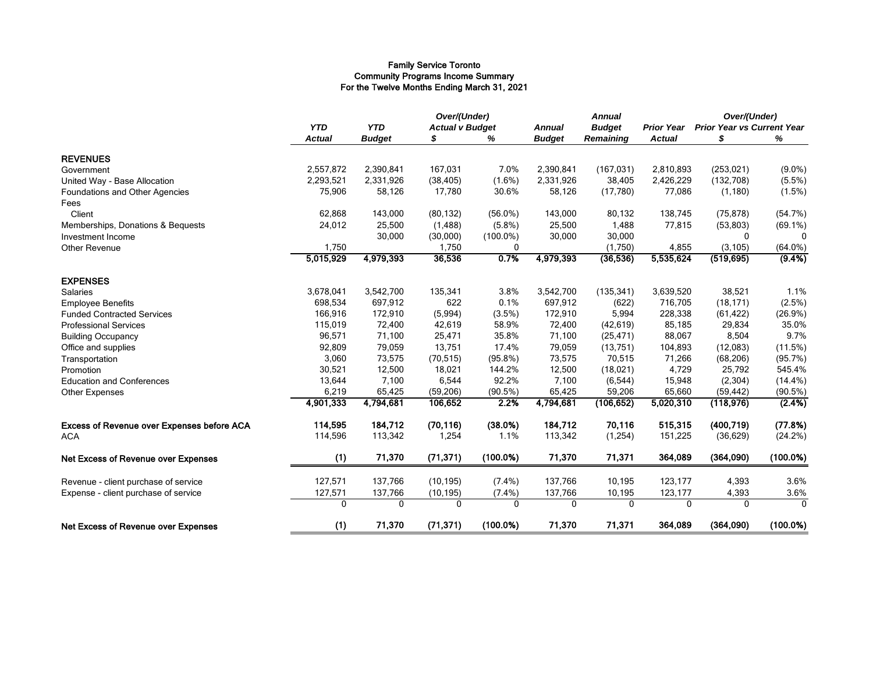#### Family Service Toronto Community Programs Income Summary For the Twelve Months Ending March 31, 2021

|                                            |                |                                      | Over/(Under) |               | <b>Annual</b> |            |                                   | Over/(Under) |             |
|--------------------------------------------|----------------|--------------------------------------|--------------|---------------|---------------|------------|-----------------------------------|--------------|-------------|
|                                            | <b>YTD</b>     | <b>YTD</b><br><b>Actual v Budget</b> |              | <b>Annual</b> | <b>Budget</b> |            | <b>Prior Year vs Current Year</b> |              |             |
|                                            | <b>Actual</b>  | <b>Budget</b>                        | \$           | %             | <b>Budget</b> | Remaining  | <b>Actual</b>                     | \$           | %           |
| <b>REVENUES</b>                            |                |                                      |              |               |               |            |                                   |              |             |
| Government                                 | 2,557,872      | 2,390,841                            | 167,031      | 7.0%          | 2,390,841     | (167, 031) | 2,810,893                         | (253, 021)   | $(9.0\%)$   |
| United Way - Base Allocation               | 2,293,521      | 2,331,926                            | (38, 405)    | $(1.6\%)$     | 2,331,926     | 38,405     | 2,426,229                         | (132,708)    | $(5.5\%)$   |
| Foundations and Other Agencies             | 75,906         | 58,126                               | 17,780       | 30.6%         | 58,126        | (17,780)   | 77,086                            | (1, 180)     | (1.5%)      |
| Fees                                       |                |                                      |              |               |               |            |                                   |              |             |
| Client                                     | 62,868         | 143,000                              | (80, 132)    | $(56.0\%)$    | 143,000       | 80,132     | 138,745                           | (75, 878)    | (54.7%)     |
| Memberships, Donations & Bequests          | 24,012         | 25,500                               | (1, 488)     | (5.8%)        | 25,500        | 1,488      | 77,815                            | (53, 803)    | $(69.1\%)$  |
| Investment Income                          |                | 30,000                               | (30,000)     | $(100.0\%)$   | 30,000        | 30,000     |                                   | $\Omega$     | 0           |
| Other Revenue                              | 1,750          |                                      | 1,750        | 0             |               | (1,750)    | 4,855                             | (3, 105)     | $(64.0\%)$  |
|                                            | 5,015,929      | 4,979,393                            | 36,536       | 0.7%          | 4,979,393     | (36, 536)  | 5,535,624                         | (519, 695)   | $(9.4\%)$   |
| <b>EXPENSES</b>                            |                |                                      |              |               |               |            |                                   |              |             |
| Salaries                                   | 3,678,041      | 3,542,700                            | 135,341      | 3.8%          | 3,542,700     | (135, 341) | 3,639,520                         | 38,521       | 1.1%        |
| <b>Employee Benefits</b>                   | 698,534        | 697,912                              | 622          | 0.1%          | 697,912       | (622)      | 716,705                           | (18, 171)    | (2.5%)      |
| <b>Funded Contracted Services</b>          | 166,916        | 172,910                              | (5,994)      | (3.5%)        | 172,910       | 5,994      | 228,338                           | (61, 422)    | (26.9%)     |
| <b>Professional Services</b>               | 115,019        | 72,400                               | 42,619       | 58.9%         | 72,400        | (42, 619)  | 85,185                            | 29,834       | 35.0%       |
| <b>Building Occupancy</b>                  | 96,571         | 71,100                               | 25,471       | 35.8%         | 71,100        | (25, 471)  | 88,067                            | 8,504        | 9.7%        |
| Office and supplies                        | 92,809         | 79,059                               | 13,751       | 17.4%         | 79,059        | (13, 751)  | 104,893                           | (12,083)     | (11.5%)     |
| Transportation                             | 3,060          | 73,575                               | (70, 515)    | (95.8%)       | 73,575        | 70,515     | 71,266                            | (68, 206)    | (95.7%)     |
| Promotion                                  | 30,521         | 12,500                               | 18,021       | 144.2%        | 12,500        | (18,021)   | 4,729                             | 25,792       | 545.4%      |
| <b>Education and Conferences</b>           | 13,644         | 7,100                                | 6,544        | 92.2%         | 7,100         | (6, 544)   | 15,948                            | (2, 304)     | $(14.4\%)$  |
| Other Expenses                             | 6,219          | 65,425                               | (59, 206)    | (90.5%)       | 65,425        | 59,206     | 65,660                            | (59, 442)    | (90.5%)     |
|                                            | 4,901,333      | 4,794,681                            | 106,652      | 2.2%          | 4,794,681     | (106, 652) | 5,020,310                         | (118, 976)   | (2.4%)      |
| Excess of Revenue over Expenses before ACA | 114,595        | 184,712                              | (70, 116)    | (38.0%)       | 184,712       | 70,116     | 515,315                           | (400, 719)   | (77.8%)     |
| <b>ACA</b>                                 | 114,596        | 113,342                              | 1,254        | 1.1%          | 113,342       | (1,254)    | 151,225                           | (36, 629)    | (24.2%)     |
| <b>Net Excess of Revenue over Expenses</b> | (1)            | 71,370                               | (71, 371)    | $(100.0\%)$   | 71,370        | 71,371     | 364,089                           | (364,090)    | $(100.0\%)$ |
| Revenue - client purchase of service       | 127,571        | 137,766                              | (10, 195)    | $(7.4\%)$     | 137,766       | 10,195     | 123,177                           | 4,393        | 3.6%        |
| Expense - client purchase of service       | 127,571        | 137,766                              | (10, 195)    | $(7.4\%)$     | 137,766       | 10,195     | 123,177                           | 4,393        | 3.6%        |
|                                            | $\overline{0}$ | $\overline{0}$                       | 0            | 0             | 0             | 0          | 0                                 | 0            | $\mathbf 0$ |
| Net Excess of Revenue over Expenses        | (1)            | 71,370                               | (71, 371)    | $(100.0\%)$   | 71,370        | 71,371     | 364,089                           | (364,090)    | $(100.0\%)$ |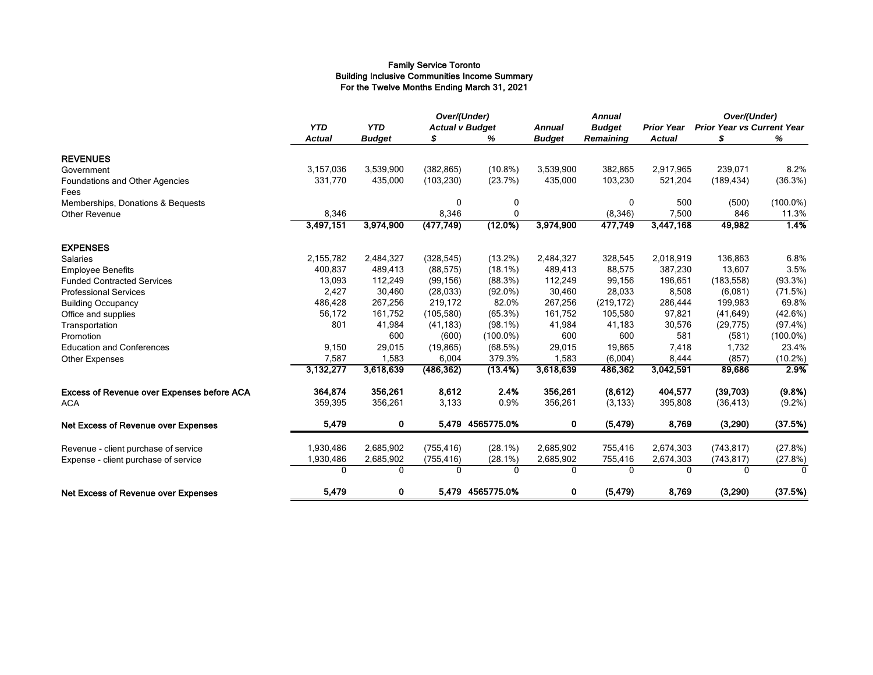#### Family Service Toronto Building Inclusive Communities Income Summary For the Twelve Months Ending March 31, 2021

|                                            |               |               | Over/(Under) |                        |               | <b>Annual</b>    |                   | Over/(Under)                      |             |
|--------------------------------------------|---------------|---------------|--------------|------------------------|---------------|------------------|-------------------|-----------------------------------|-------------|
|                                            | <b>YTD</b>    | <b>YTD</b>    |              | <b>Actual v Budget</b> |               | <b>Budget</b>    | <b>Prior Year</b> | <b>Prior Year vs Current Year</b> |             |
|                                            | <b>Actual</b> | <b>Budget</b> |              | ℅                      | <b>Budget</b> | <b>Remaining</b> | <b>Actual</b>     | \$                                | %           |
| <b>REVENUES</b>                            |               |               |              |                        |               |                  |                   |                                   |             |
| Government                                 | 3,157,036     | 3,539,900     | (382, 865)   | $(10.8\%)$             | 3,539,900     | 382,865          | 2,917,965         | 239,071                           | 8.2%        |
| Foundations and Other Agencies             | 331,770       | 435,000       | (103, 230)   | (23.7%)                | 435,000       | 103,230          | 521,204           | (189, 434)                        | (36.3%)     |
| Fees                                       |               |               |              |                        |               |                  |                   |                                   |             |
| Memberships, Donations & Bequests          |               |               | 0            | 0                      |               | 0                | 500               | (500)                             | $(100.0\%)$ |
| <b>Other Revenue</b>                       | 8,346         |               | 8,346        | $\mathbf 0$            |               | (8, 346)         | 7,500             | 846                               | 11.3%       |
|                                            | 3,497,151     | 3,974,900     | (477, 749)   | (12.0%)                | 3,974,900     | 477,749          | 3,447,168         | 49,982                            | 1.4%        |
| <b>EXPENSES</b>                            |               |               |              |                        |               |                  |                   |                                   |             |
| <b>Salaries</b>                            | 2,155,782     | 2,484,327     | (328, 545)   | $(13.2\%)$             | 2,484,327     | 328,545          | 2,018,919         | 136,863                           | 6.8%        |
| <b>Employee Benefits</b>                   | 400,837       | 489,413       | (88, 575)    | $(18.1\%)$             | 489,413       | 88,575           | 387,230           | 13,607                            | 3.5%        |
| <b>Funded Contracted Services</b>          | 13,093        | 112,249       | (99, 156)    | (88.3%)                | 112,249       | 99,156           | 196,651           | (183, 558)                        | (93.3%)     |
| <b>Professional Services</b>               | 2,427         | 30,460        | (28, 033)    | $(92.0\%)$             | 30,460        | 28,033           | 8,508             | (6,081)                           | (71.5%)     |
| <b>Building Occupancy</b>                  | 486,428       | 267,256       | 219,172      | 82.0%                  | 267,256       | (219, 172)       | 286,444           | 199,983                           | 69.8%       |
| Office and supplies                        | 56,172        | 161,752       | (105, 580)   | (65.3%)                | 161,752       | 105,580          | 97,821            | (41, 649)                         | (42.6%)     |
| Transportation                             | 801           | 41,984        | (41, 183)    | $(98.1\%)$             | 41,984        | 41,183           | 30,576            | (29, 775)                         | (97.4%)     |
| Promotion                                  |               | 600           | (600)        | $(100.0\%)$            | 600           | 600              | 581               | (581)                             | $(100.0\%)$ |
| <b>Education and Conferences</b>           | 9,150         | 29,015        | (19, 865)    | (68.5%)                | 29,015        | 19,865           | 7,418             | 1,732                             | 23.4%       |
| Other Expenses                             | 7,587         | 1,583         | 6,004        | 379.3%                 | 1,583         | (6,004)          | 8,444             | (857)                             | $(10.2\%)$  |
|                                            | 3,132,277     | 3,618,639     | (486, 362)   | (13.4%)                | 3,618,639     | 486,362          | 3,042,591         | 89,686                            | 2.9%        |
| Excess of Revenue over Expenses before ACA | 364,874       | 356,261       | 8,612        | 2.4%                   | 356,261       | (8,612)          | 404,577           | (39,703)                          | (9.8%)      |
| <b>ACA</b>                                 | 359,395       | 356,261       | 3,133        | 0.9%                   | 356,261       | (3, 133)         | 395,808           | (36, 413)                         | $(9.2\%)$   |
| <b>Net Excess of Revenue over Expenses</b> | 5,479         | 0             |              | 5,479 4565775.0%       | $\mathbf 0$   | (5, 479)         | 8,769             | (3,290)                           | (37.5%)     |
| Revenue - client purchase of service       | 1,930,486     | 2,685,902     | (755, 416)   | $(28.1\%)$             | 2,685,902     | 755,416          | 2,674,303         | (743, 817)                        | (27.8%)     |
| Expense - client purchase of service       | 1,930,486     | 2,685,902     | (755, 416)   | (28.1%)                | 2,685,902     | 755,416          | 2,674,303         | (743, 817)                        | (27.8%)     |
|                                            | $\mathbf{0}$  | 0             | $\mathbf{0}$ | $\mathbf{0}$           | 0             | 0                | $\Omega$          | $\Omega$                          | $\Omega$    |
| <b>Net Excess of Revenue over Expenses</b> | 5,479         | 0             |              | 5,479 4565775.0%       | 0             | (5, 479)         | 8,769             | (3,290)                           | (37.5%)     |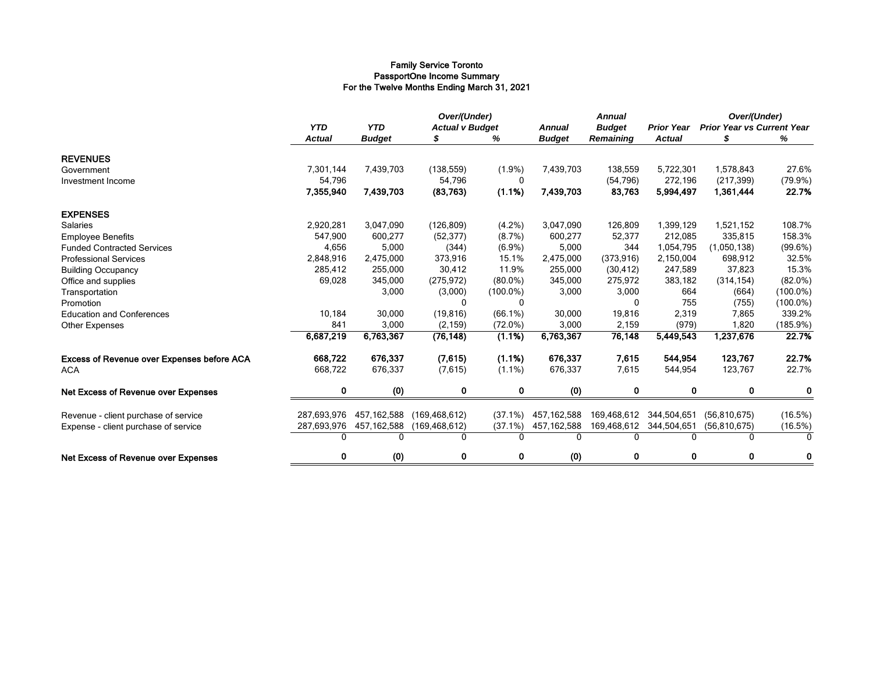#### Family Service Toronto PassportOne Income Summary For the Twelve Months Ending March 31, 2021

|                                                   |               |               | Over/(Under)           |              |               | <b>Annual</b> |                   | Over/(Under)                      |             |
|---------------------------------------------------|---------------|---------------|------------------------|--------------|---------------|---------------|-------------------|-----------------------------------|-------------|
|                                                   | <b>YTD</b>    | <b>YTD</b>    | <b>Actual v Budget</b> |              | <b>Annual</b> | <b>Budget</b> | <b>Prior Year</b> | <b>Prior Year vs Current Year</b> |             |
|                                                   | <b>Actual</b> | <b>Budget</b> |                        | %            | <b>Budget</b> | Remaining     | <b>Actual</b>     |                                   | %           |
| <b>REVENUES</b>                                   |               |               |                        |              |               |               |                   |                                   |             |
| Government                                        | 7,301,144     | 7,439,703     | (138, 559)             | $(1.9\%)$    | 7,439,703     | 138,559       | 5,722,301         | 1,578,843                         | 27.6%       |
| Investment Income                                 | 54,796        |               | 54,796                 | $\mathbf{0}$ |               | (54, 796)     | 272,196           | (217, 399)                        | (79.9%)     |
|                                                   | 7,355,940     | 7,439,703     | (83, 763)              | (1.1%)       | 7,439,703     | 83,763        | 5,994,497         | 1,361,444                         | 22.7%       |
| <b>EXPENSES</b>                                   |               |               |                        |              |               |               |                   |                                   |             |
| Salaries                                          | 2,920,281     | 3,047,090     | (126, 809)             | $(4.2\%)$    | 3,047,090     | 126,809       | 1,399,129         | 1,521,152                         | 108.7%      |
| <b>Employee Benefits</b>                          | 547,900       | 600,277       | (52, 377)              | (8.7%)       | 600,277       | 52,377        | 212,085           | 335,815                           | 158.3%      |
| <b>Funded Contracted Services</b>                 | 4,656         | 5,000         | (344)                  | $(6.9\%)$    | 5,000         | 344           | 1,054,795         | (1,050,138)                       | (99.6%)     |
| <b>Professional Services</b>                      | 2,848,916     | 2,475,000     | 373,916                | 15.1%        | 2,475,000     | (373, 916)    | 2,150,004         | 698,912                           | 32.5%       |
| <b>Building Occupancy</b>                         | 285,412       | 255,000       | 30,412                 | 11.9%        | 255,000       | (30, 412)     | 247,589           | 37,823                            | 15.3%       |
| Office and supplies                               | 69,028        | 345,000       | (275, 972)             | $(80.0\%)$   | 345,000       | 275,972       | 383,182           | (314, 154)                        | $(82.0\%)$  |
| Transportation                                    |               | 3,000         | (3,000)                | $(100.0\%)$  | 3,000         | 3,000         | 664               | (664)                             | $(100.0\%)$ |
| Promotion                                         |               |               | 0                      | $\Omega$     |               | 0             | 755               | (755)                             | $(100.0\%)$ |
| <b>Education and Conferences</b>                  | 10,184        | 30,000        | (19, 816)              | $(66.1\%)$   | 30,000        | 19,816        | 2,319             | 7,865                             | 339.2%      |
| <b>Other Expenses</b>                             | 841           | 3,000         | (2, 159)               | $(72.0\%)$   | 3,000         | 2,159         | (979)             | 1,820                             | (185.9%)    |
|                                                   | 6,687,219     | 6,763,367     | (76, 148)              | (1.1%)       | 6,763,367     | 76,148        | 5,449,543         | 1,237,676                         | 22.7%       |
| <b>Excess of Revenue over Expenses before ACA</b> | 668,722       | 676,337       | (7,615)                | (1.1%)       | 676,337       | 7,615         | 544,954           | 123,767                           | 22.7%       |
| <b>ACA</b>                                        | 668,722       | 676,337       | (7,615)                | $(1.1\%)$    | 676,337       | 7,615         | 544,954           | 123,767                           | 22.7%       |
| Net Excess of Revenue over Expenses               | 0             | (0)           | 0                      | $\bf{0}$     | (0)           | $\bf{0}$      | $\mathbf{0}$      | $\bf{0}$                          | $\bf{0}$    |
| Revenue - client purchase of service              | 287,693,976   | 457,162,588   | (169, 468, 612)        | $(37.1\%)$   | 457, 162, 588 | 169,468,612   | 344,504,651       | (56, 810, 675)                    | (16.5%)     |
| Expense - client purchase of service              | 287,693,976   | 457,162,588   | (169, 468, 612)        | $(37.1\%)$   | 457,162,588   | 169,468,612   | 344,504,651       | (56, 810, 675)                    | (16.5%)     |
|                                                   | $\Omega$      | $\Omega$      | 0                      | $\Omega$     | $\Omega$      | <sup>0</sup>  |                   | $\Omega$                          | $\Omega$    |
| Net Excess of Revenue over Expenses               | $\mathbf 0$   | (0)           | 0                      | $\mathbf 0$  | (0)           | 0             | $\mathbf{0}$      | $\mathbf 0$                       | $\bf{0}$    |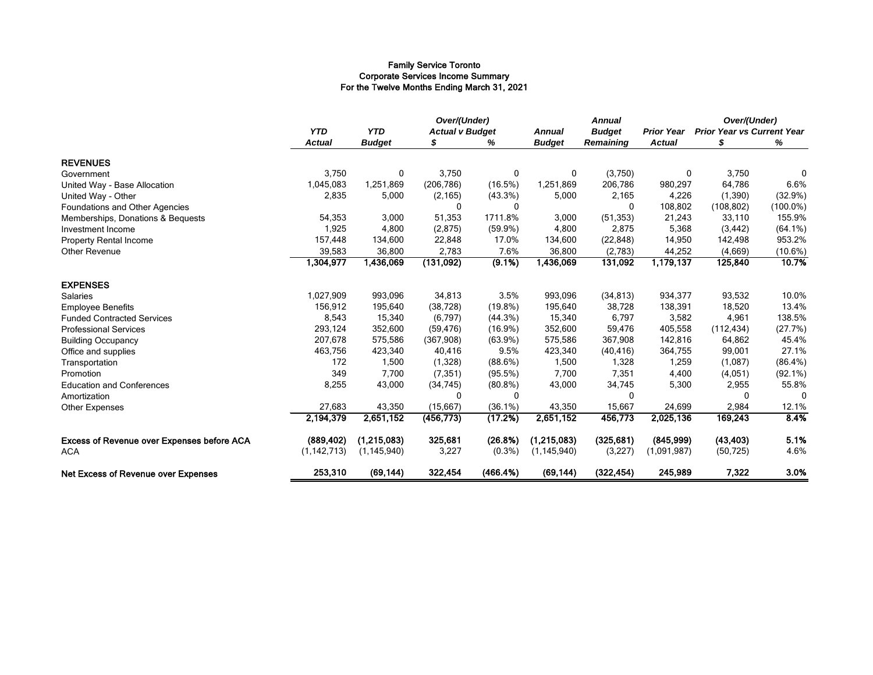#### Family Service Toronto Corporate Services Income Summary For the Twelve Months Ending March 31, 2021

|                                            |                             |                             | Over/(Under)<br><b>Actual v Budget</b> |            |                                | <b>Annual</b>                     |                                    | Over/(Under)<br><b>Prior Year vs Current Year</b> |             |
|--------------------------------------------|-----------------------------|-----------------------------|----------------------------------------|------------|--------------------------------|-----------------------------------|------------------------------------|---------------------------------------------------|-------------|
|                                            | <b>YTD</b><br><b>Actual</b> | <b>YTD</b><br><b>Budget</b> | S                                      | %          | <b>Annual</b><br><b>Budget</b> | <b>Budget</b><br><b>Remaining</b> | <b>Prior Year</b><br><b>Actual</b> | S                                                 | %           |
| <b>REVENUES</b>                            |                             |                             |                                        |            |                                |                                   |                                    |                                                   |             |
| Government                                 | 3,750                       | 0                           | 3,750                                  | 0          | 0                              | (3,750)                           | 0                                  | 3,750                                             | $\mathbf 0$ |
| United Way - Base Allocation               | 1,045,083                   | 1,251,869                   | (206, 786)                             | (16.5%)    | 1,251,869                      | 206,786                           | 980,297                            | 64,786                                            | 6.6%        |
| United Way - Other                         | 2,835                       | 5,000                       | (2, 165)                               | $(43.3\%)$ | 5,000                          | 2,165                             | 4,226                              | (1,390)                                           | (32.9%)     |
| Foundations and Other Agencies             |                             |                             | $\mathbf{0}$                           | 0          |                                | 0                                 | 108,802                            | (108, 802)                                        | $(100.0\%)$ |
| Memberships, Donations & Bequests          | 54,353                      | 3,000                       | 51,353                                 | 1711.8%    | 3,000                          | (51, 353)                         | 21,243                             | 33,110                                            | 155.9%      |
| Investment Income                          | 1,925                       | 4,800                       | (2,875)                                | $(59.9\%)$ | 4,800                          | 2,875                             | 5,368                              | (3, 442)                                          | $(64.1\%)$  |
| <b>Property Rental Income</b>              | 157,448                     | 134,600                     | 22,848                                 | 17.0%      | 134,600                        | (22, 848)                         | 14,950                             | 142,498                                           | 953.2%      |
| Other Revenue                              | 39,583                      | 36,800                      | 2,783                                  | 7.6%       | 36,800                         | (2,783)                           | 44,252                             | (4,669)                                           | (10.6%)     |
|                                            | 1,304,977                   | 1,436,069                   | (131, 092)                             | (9.1%)     | 1,436,069                      | 131,092                           | 1,179,137                          | 125,840                                           | 10.7%       |
| <b>EXPENSES</b>                            |                             |                             |                                        |            |                                |                                   |                                    |                                                   |             |
| <b>Salaries</b>                            | 1,027,909                   | 993,096                     | 34,813                                 | 3.5%       | 993,096                        | (34, 813)                         | 934,377                            | 93,532                                            | 10.0%       |
| <b>Employee Benefits</b>                   | 156,912                     | 195,640                     | (38, 728)                              | $(19.8\%)$ | 195,640                        | 38,728                            | 138,391                            | 18,520                                            | 13.4%       |
| <b>Funded Contracted Services</b>          | 8,543                       | 15,340                      | (6,797)                                | (44.3%)    | 15,340                         | 6,797                             | 3,582                              | 4,961                                             | 138.5%      |
| <b>Professional Services</b>               | 293,124                     | 352,600                     | (59, 476)                              | $(16.9\%)$ | 352,600                        | 59,476                            | 405,558                            | (112, 434)                                        | (27.7%)     |
| <b>Building Occupancy</b>                  | 207,678                     | 575,586                     | (367,908)                              | $(63.9\%)$ | 575,586                        | 367,908                           | 142,816                            | 64,862                                            | 45.4%       |
| Office and supplies                        | 463,756                     | 423,340                     | 40,416                                 | 9.5%       | 423,340                        | (40, 416)                         | 364,755                            | 99,001                                            | 27.1%       |
| Transportation                             | 172                         | 1,500                       | (1,328)                                | (88.6%)    | 1,500                          | 1,328                             | 1,259                              | (1,087)                                           | $(86.4\%)$  |
| Promotion                                  | 349                         | 7,700                       | (7, 351)                               | (95.5%)    | 7,700                          | 7,351                             | 4,400                              | (4,051)                                           | $(92.1\%)$  |
| <b>Education and Conferences</b>           | 8,255                       | 43,000                      | (34, 745)                              | $(80.8\%)$ | 43,000                         | 34,745                            | 5,300                              | 2,955                                             | 55.8%       |
| Amortization                               |                             |                             | <sup>0</sup>                           | $\Omega$   |                                | $\Omega$                          |                                    | $\Omega$                                          | $\Omega$    |
| Other Expenses                             | 27,683                      | 43,350                      | (15,667)                               | $(36.1\%)$ | 43,350                         | 15,667                            | 24,699                             | 2,984                                             | 12.1%       |
|                                            | 2,194,379                   | 2,651,152                   | (456, 773)                             | (17.2%)    | 2,651,152                      | 456,773                           | 2,025,136                          | 169,243                                           | 8.4%        |
| Excess of Revenue over Expenses before ACA | (889, 402)                  | (1,215,083)                 | 325,681                                | (26.8%)    | (1,215,083)                    | (325, 681)                        | (845,999)                          | (43, 403)                                         | 5.1%        |
| <b>ACA</b>                                 | (1, 142, 713)               | (1, 145, 940)               | 3,227                                  | $(0.3\%)$  | (1, 145, 940)                  | (3,227)                           | (1,091,987)                        | (50, 725)                                         | 4.6%        |
| <b>Net Excess of Revenue over Expenses</b> | 253,310                     | (69, 144)                   | 322,454                                | (466.4%)   | (69, 144)                      | (322, 454)                        | 245,989                            | 7,322                                             | 3.0%        |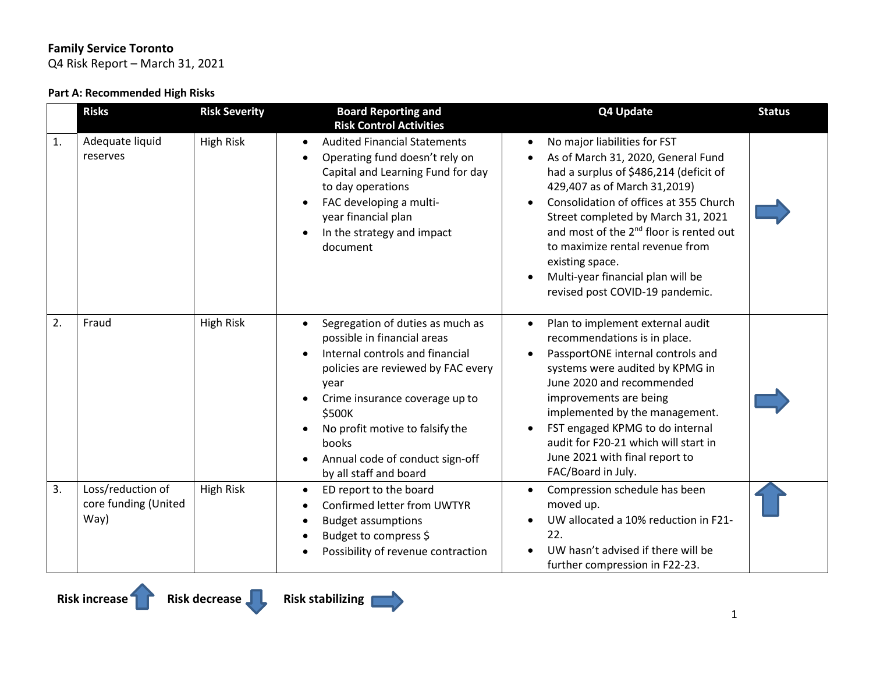Q4 Risk Report – March 31, 2021

#### **Part A: Recommended High Risks**

|    | <b>Risks</b>                                      | <b>Risk Severity</b> | <b>Board Reporting and</b><br><b>Risk Control Activities</b>                                                                                                                                                                                                                                                       | Q4 Update                                                                                                                                                                                                                                                                                                                                                                                                                                                             | <b>Status</b> |
|----|---------------------------------------------------|----------------------|--------------------------------------------------------------------------------------------------------------------------------------------------------------------------------------------------------------------------------------------------------------------------------------------------------------------|-----------------------------------------------------------------------------------------------------------------------------------------------------------------------------------------------------------------------------------------------------------------------------------------------------------------------------------------------------------------------------------------------------------------------------------------------------------------------|---------------|
| 1. | Adequate liquid<br>reserves                       | <b>High Risk</b>     | <b>Audited Financial Statements</b><br>Operating fund doesn't rely on<br>Capital and Learning Fund for day<br>to day operations<br>FAC developing a multi-<br>year financial plan<br>In the strategy and impact<br>document                                                                                        | No major liabilities for FST<br>$\bullet$<br>As of March 31, 2020, General Fund<br>$\bullet$<br>had a surplus of \$486,214 (deficit of<br>429,407 as of March 31,2019)<br>Consolidation of offices at 355 Church<br>$\bullet$<br>Street completed by March 31, 2021<br>and most of the 2 <sup>nd</sup> floor is rented out<br>to maximize rental revenue from<br>existing space.<br>Multi-year financial plan will be<br>$\bullet$<br>revised post COVID-19 pandemic. |               |
| 2. | Fraud                                             | <b>High Risk</b>     | Segregation of duties as much as<br>$\bullet$<br>possible in financial areas<br>Internal controls and financial<br>policies are reviewed by FAC every<br>year<br>Crime insurance coverage up to<br>\$500K<br>No profit motive to falsify the<br>books<br>Annual code of conduct sign-off<br>by all staff and board | Plan to implement external audit<br>$\bullet$<br>recommendations is in place.<br>PassportONE internal controls and<br>$\bullet$<br>systems were audited by KPMG in<br>June 2020 and recommended<br>improvements are being<br>implemented by the management.<br>FST engaged KPMG to do internal<br>$\bullet$<br>audit for F20-21 which will start in<br>June 2021 with final report to<br>FAC/Board in July.                                                           |               |
| 3. | Loss/reduction of<br>core funding (United<br>Way) | <b>High Risk</b>     | ED report to the board<br>$\bullet$<br>Confirmed letter from UWTYR<br><b>Budget assumptions</b><br>Budget to compress \$<br>Possibility of revenue contraction                                                                                                                                                     | Compression schedule has been<br>$\bullet$<br>moved up.<br>UW allocated a 10% reduction in F21-<br>$\bullet$<br>22.<br>UW hasn't advised if there will be<br>further compression in F22-23.                                                                                                                                                                                                                                                                           |               |

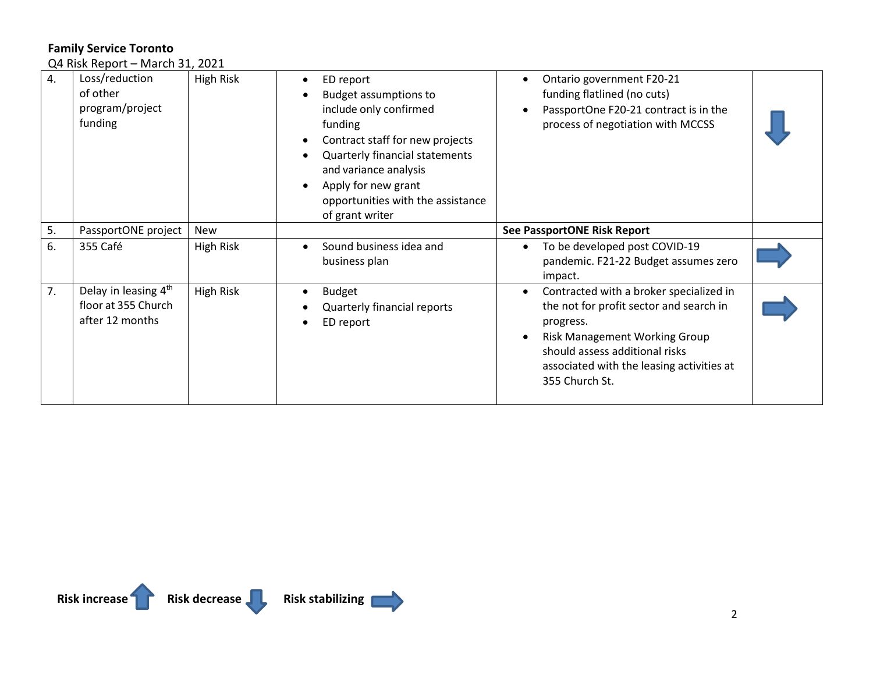Q4 Risk Report – March 31, 2021

| 4. | Loss/reduction<br>of other<br>program/project<br>funding                   | High Risk        | ED report<br>٠<br><b>Budget assumptions to</b><br>include only confirmed<br>funding<br>Contract staff for new projects<br>Quarterly financial statements<br>and variance analysis<br>Apply for new grant<br>opportunities with the assistance<br>of grant writer | Ontario government F20-21<br>funding flatlined (no cuts)<br>PassportOne F20-21 contract is in the<br>process of negotiation with MCCSS                                                                                                   |  |
|----|----------------------------------------------------------------------------|------------------|------------------------------------------------------------------------------------------------------------------------------------------------------------------------------------------------------------------------------------------------------------------|------------------------------------------------------------------------------------------------------------------------------------------------------------------------------------------------------------------------------------------|--|
| 5. | PassportONE project                                                        | New              |                                                                                                                                                                                                                                                                  | <b>See PassportONE Risk Report</b>                                                                                                                                                                                                       |  |
| 6. | 355 Café                                                                   | <b>High Risk</b> | Sound business idea and<br>business plan                                                                                                                                                                                                                         | To be developed post COVID-19<br>$\bullet$<br>pandemic. F21-22 Budget assumes zero<br>impact.                                                                                                                                            |  |
| 7. | Delay in leasing 4 <sup>th</sup><br>floor at 355 Church<br>after 12 months | High Risk        | <b>Budget</b><br>Quarterly financial reports<br>ED report                                                                                                                                                                                                        | Contracted with a broker specialized in<br>the not for profit sector and search in<br>progress.<br><b>Risk Management Working Group</b><br>should assess additional risks<br>associated with the leasing activities at<br>355 Church St. |  |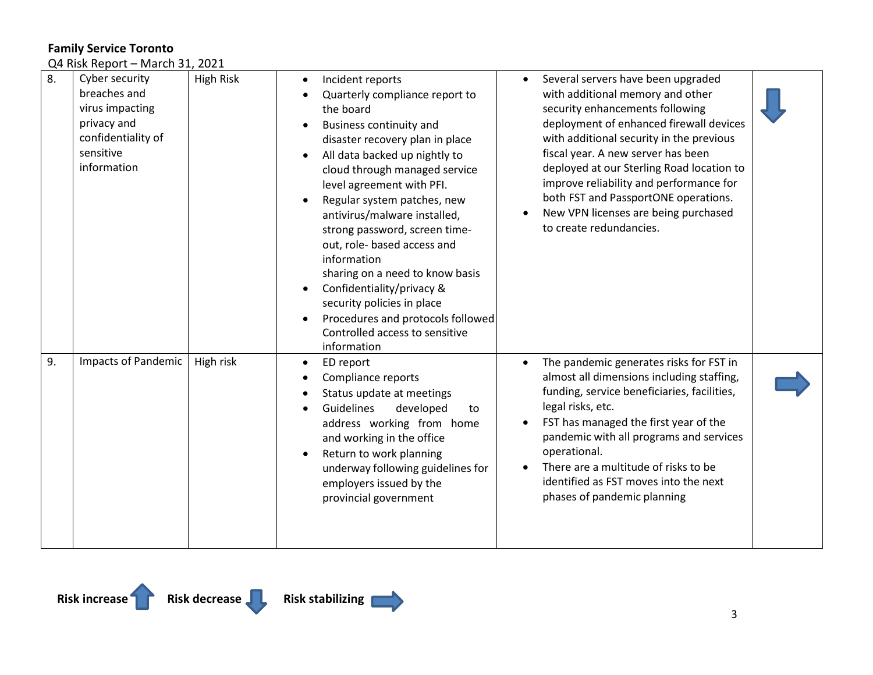Q4 Risk Report – March 31, 2021

| 8. | Cyber security<br>breaches and<br>virus impacting<br>privacy and<br>confidentiality of<br>sensitive<br>information | <b>High Risk</b> | Incident reports<br>٠<br>Quarterly compliance report to<br>the board<br><b>Business continuity and</b><br>disaster recovery plan in place<br>All data backed up nightly to<br>cloud through managed service<br>level agreement with PFI.<br>Regular system patches, new<br>antivirus/malware installed,<br>strong password, screen time-<br>out, role- based access and<br>information<br>sharing on a need to know basis<br>Confidentiality/privacy &<br>security policies in place<br>Procedures and protocols followed<br>Controlled access to sensitive<br>information | Several servers have been upgraded<br>$\bullet$<br>with additional memory and other<br>security enhancements following<br>deployment of enhanced firewall devices<br>with additional security in the previous<br>fiscal year. A new server has been<br>deployed at our Sterling Road location to<br>improve reliability and performance for<br>both FST and PassportONE operations.<br>New VPN licenses are being purchased<br>٠<br>to create redundancies. |  |
|----|--------------------------------------------------------------------------------------------------------------------|------------------|----------------------------------------------------------------------------------------------------------------------------------------------------------------------------------------------------------------------------------------------------------------------------------------------------------------------------------------------------------------------------------------------------------------------------------------------------------------------------------------------------------------------------------------------------------------------------|-------------------------------------------------------------------------------------------------------------------------------------------------------------------------------------------------------------------------------------------------------------------------------------------------------------------------------------------------------------------------------------------------------------------------------------------------------------|--|
| 9. | Impacts of Pandemic                                                                                                | High risk        | ED report<br>٠<br>Compliance reports<br>Status update at meetings<br>Guidelines<br>developed<br>to<br>address working from home<br>and working in the office<br>Return to work planning<br>underway following guidelines for<br>employers issued by the<br>provincial government                                                                                                                                                                                                                                                                                           | The pandemic generates risks for FST in<br>$\bullet$<br>almost all dimensions including staffing,<br>funding, service beneficiaries, facilities,<br>legal risks, etc.<br>FST has managed the first year of the<br>$\bullet$<br>pandemic with all programs and services<br>operational.<br>There are a multitude of risks to be<br>$\bullet$<br>identified as FST moves into the next<br>phases of pandemic planning                                         |  |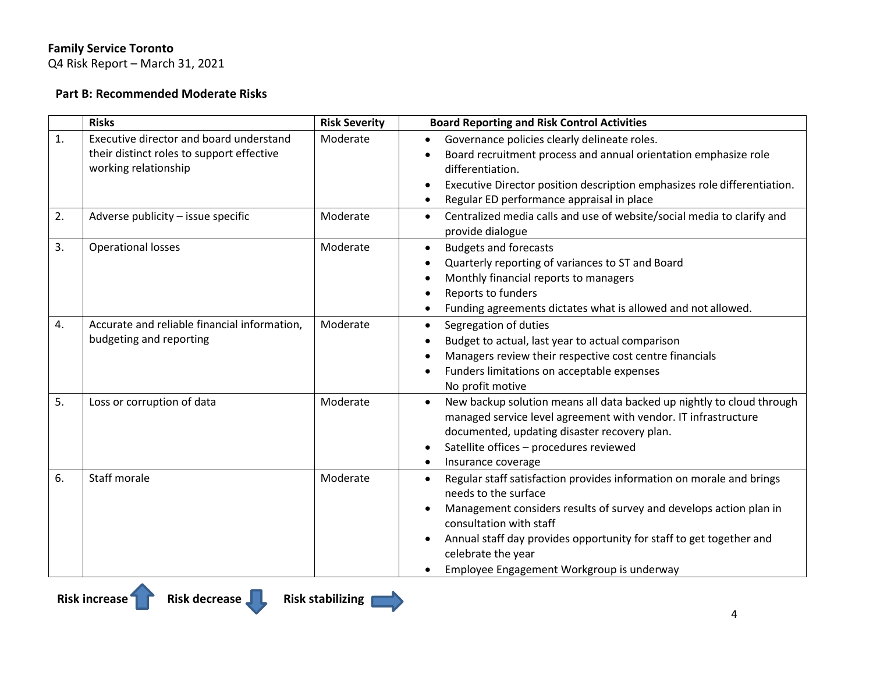Q4 Risk Report – March 31, 2021

# **Part B: Recommended Moderate Risks**

|    | <b>Risks</b>                                 | <b>Risk Severity</b> | <b>Board Reporting and Risk Control Activities</b>                                                      |
|----|----------------------------------------------|----------------------|---------------------------------------------------------------------------------------------------------|
| 1. | Executive director and board understand      | Moderate             | Governance policies clearly delineate roles.                                                            |
|    | their distinct roles to support effective    |                      | Board recruitment process and annual orientation emphasize role                                         |
|    | working relationship                         |                      | differentiation.                                                                                        |
|    |                                              |                      | Executive Director position description emphasizes role differentiation.                                |
|    |                                              |                      | Regular ED performance appraisal in place                                                               |
| 2. | Adverse publicity - issue specific           | Moderate             | Centralized media calls and use of website/social media to clarify and<br>$\bullet$<br>provide dialogue |
| 3. | <b>Operational losses</b>                    | Moderate             | <b>Budgets and forecasts</b><br>$\bullet$                                                               |
|    |                                              |                      | Quarterly reporting of variances to ST and Board                                                        |
|    |                                              |                      | Monthly financial reports to managers<br>$\bullet$                                                      |
|    |                                              |                      | Reports to funders                                                                                      |
|    |                                              |                      | Funding agreements dictates what is allowed and not allowed.                                            |
| 4. | Accurate and reliable financial information, | Moderate             | Segregation of duties<br>$\bullet$                                                                      |
|    | budgeting and reporting                      |                      | Budget to actual, last year to actual comparison<br>$\bullet$                                           |
|    |                                              |                      | Managers review their respective cost centre financials                                                 |
|    |                                              |                      | Funders limitations on acceptable expenses                                                              |
|    |                                              |                      | No profit motive                                                                                        |
| 5. | Loss or corruption of data                   | Moderate             | New backup solution means all data backed up nightly to cloud through<br>$\bullet$                      |
|    |                                              |                      | managed service level agreement with vendor. IT infrastructure                                          |
|    |                                              |                      | documented, updating disaster recovery plan.                                                            |
|    |                                              |                      | Satellite offices - procedures reviewed                                                                 |
|    |                                              |                      | Insurance coverage<br>$\bullet$                                                                         |
| 6. | Staff morale                                 | Moderate             | Regular staff satisfaction provides information on morale and brings<br>$\bullet$                       |
|    |                                              |                      | needs to the surface                                                                                    |
|    |                                              |                      | Management considers results of survey and develops action plan in                                      |
|    |                                              |                      | consultation with staff                                                                                 |
|    |                                              |                      | Annual staff day provides opportunity for staff to get together and<br>$\bullet$                        |
|    |                                              |                      | celebrate the year                                                                                      |
|    |                                              |                      | Employee Engagement Workgroup is underway                                                               |

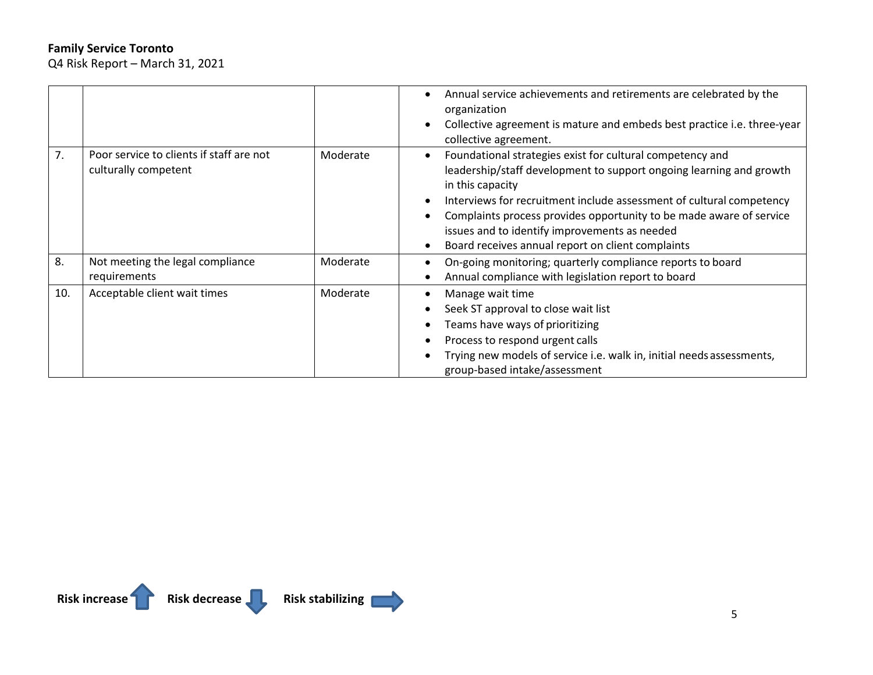Q4 Risk Report – March 31, 2021

|     |                                                                  |          | Annual service achievements and retirements are celebrated by the<br>$\bullet$<br>organization<br>Collective agreement is mature and embeds best practice i.e. three-year<br>$\bullet$<br>collective agreement.                                                                                                                                                                                                                                  |
|-----|------------------------------------------------------------------|----------|--------------------------------------------------------------------------------------------------------------------------------------------------------------------------------------------------------------------------------------------------------------------------------------------------------------------------------------------------------------------------------------------------------------------------------------------------|
| 7.  | Poor service to clients if staff are not<br>culturally competent | Moderate | Foundational strategies exist for cultural competency and<br>$\bullet$<br>leadership/staff development to support ongoing learning and growth<br>in this capacity<br>Interviews for recruitment include assessment of cultural competency<br>$\bullet$<br>Complaints process provides opportunity to be made aware of service<br>issues and to identify improvements as needed<br>Board receives annual report on client complaints<br>$\bullet$ |
| 8.  | Not meeting the legal compliance<br>requirements                 | Moderate | On-going monitoring; quarterly compliance reports to board<br>Annual compliance with legislation report to board                                                                                                                                                                                                                                                                                                                                 |
| 10. | Acceptable client wait times                                     | Moderate | Manage wait time<br>$\bullet$<br>Seek ST approval to close wait list<br>$\bullet$<br>Teams have ways of prioritizing<br>٠<br>Process to respond urgent calls<br>$\bullet$<br>Trying new models of service i.e. walk in, initial needs assessments,<br>group-based intake/assessment                                                                                                                                                              |

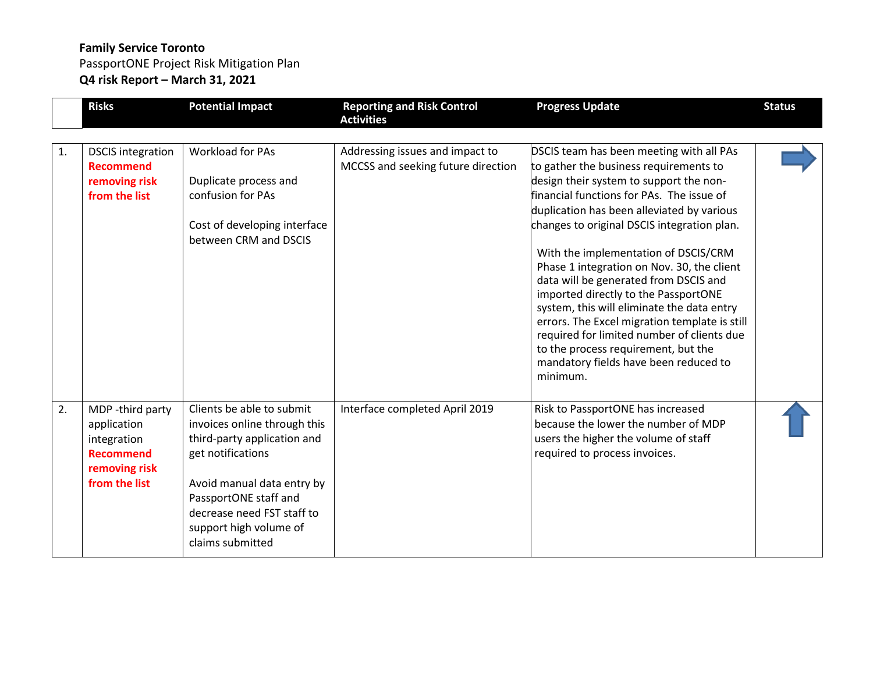PassportONE Project Risk Mitigation Plan **Q4 risk Report – March 31, 2021**

|    | <b>Risks</b>                                                                                         | <b>Potential Impact</b>                                                                                                                                                                                                                          | <b>Reporting and Risk Control</b><br><b>Activities</b>                | <b>Progress Update</b>                                                                                                                                                                                                                                                                                                                                                                                                                                                                                                                        | <b>Status</b> |
|----|------------------------------------------------------------------------------------------------------|--------------------------------------------------------------------------------------------------------------------------------------------------------------------------------------------------------------------------------------------------|-----------------------------------------------------------------------|-----------------------------------------------------------------------------------------------------------------------------------------------------------------------------------------------------------------------------------------------------------------------------------------------------------------------------------------------------------------------------------------------------------------------------------------------------------------------------------------------------------------------------------------------|---------------|
| 1. | <b>DSCIS</b> integration<br><b>Recommend</b><br>removing risk<br>from the list                       | <b>Workload for PAs</b><br>Duplicate process and<br>confusion for PAs<br>Cost of developing interface<br>between CRM and DSCIS                                                                                                                   | Addressing issues and impact to<br>MCCSS and seeking future direction | DSCIS team has been meeting with all PAs<br>to gather the business requirements to<br>design their system to support the non-<br>financial functions for PAs. The issue of<br>duplication has been alleviated by various<br>changes to original DSCIS integration plan.<br>With the implementation of DSCIS/CRM<br>Phase 1 integration on Nov. 30, the client<br>data will be generated from DSCIS and<br>imported directly to the PassportONE<br>system, this will eliminate the data entry<br>errors. The Excel migration template is still |               |
|    |                                                                                                      |                                                                                                                                                                                                                                                  |                                                                       | required for limited number of clients due<br>to the process requirement, but the<br>mandatory fields have been reduced to<br>minimum.                                                                                                                                                                                                                                                                                                                                                                                                        |               |
| 2. | MDP -third party<br>application<br>integration<br><b>Recommend</b><br>removing risk<br>from the list | Clients be able to submit<br>invoices online through this<br>third-party application and<br>get notifications<br>Avoid manual data entry by<br>PassportONE staff and<br>decrease need FST staff to<br>support high volume of<br>claims submitted | Interface completed April 2019                                        | Risk to PassportONE has increased<br>because the lower the number of MDP<br>users the higher the volume of staff<br>required to process invoices.                                                                                                                                                                                                                                                                                                                                                                                             |               |